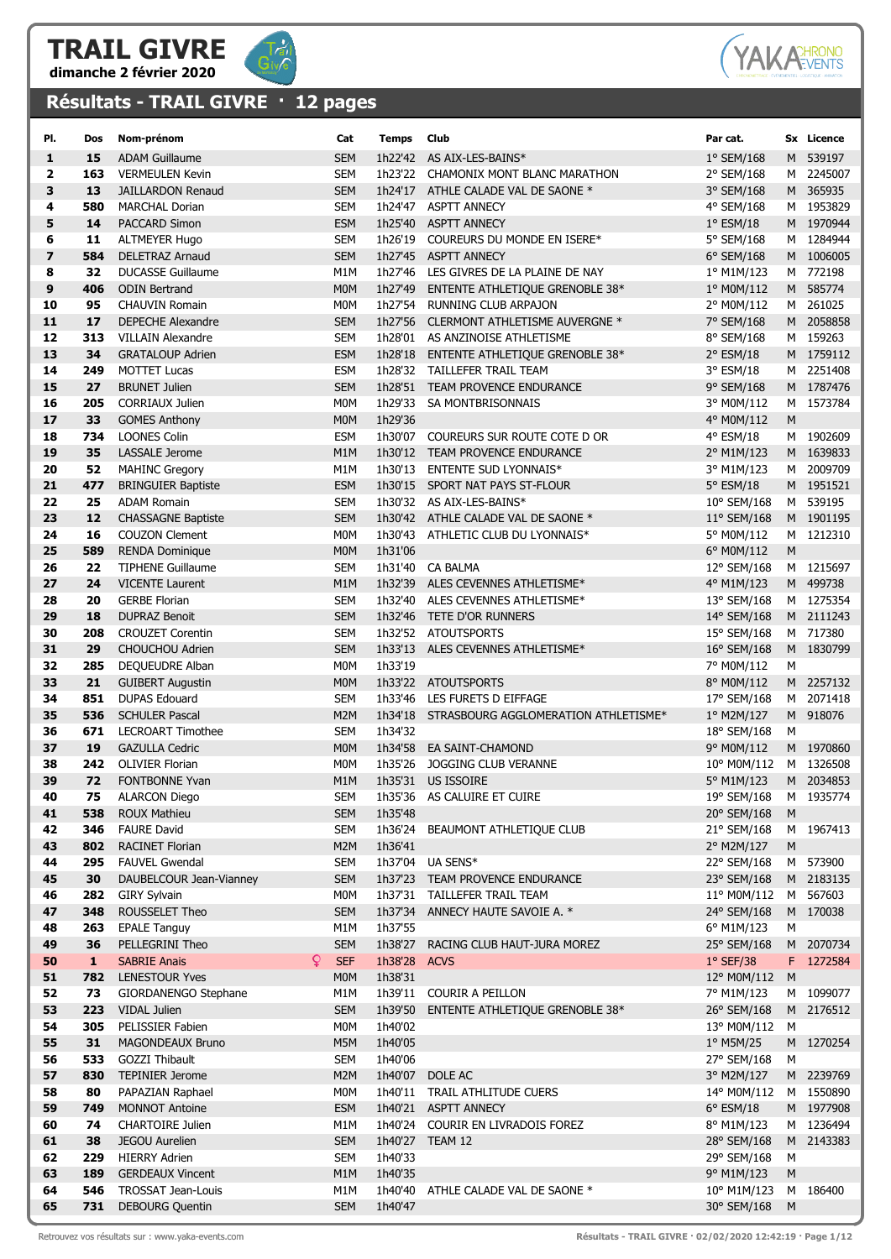



## Résultats - TRAIL GIVRE · 12 pages

| PI.                     | Dos       | Nom-prénom                                         | Cat               | Temps              | Club                                                             | Par cat.                  |           | Sx Licence             |
|-------------------------|-----------|----------------------------------------------------|-------------------|--------------------|------------------------------------------------------------------|---------------------------|-----------|------------------------|
| 1                       | 15        | <b>ADAM Guillaume</b>                              | <b>SEM</b>        |                    | 1h22'42 AS AIX-LES-BAINS*                                        | 1° SEM/168                |           | M 539197               |
| 2                       | 163       | <b>VERMEULEN Kevin</b>                             | <b>SEM</b>        |                    | 1h23'22 CHAMONIX MONT BLANC MARATHON                             | 2° SEM/168                |           | M 2245007              |
| 3                       | 13        | <b>JAILLARDON Renaud</b>                           | <b>SEM</b>        |                    | 1h24'17 ATHLE CALADE VAL DE SAONE *                              | 3° SEM/168                |           | M 365935               |
| 4                       | 580       | <b>MARCHAL Dorian</b>                              | <b>SEM</b>        | 1h24'47            | <b>ASPTT ANNECY</b>                                              | 4° SEM/168                |           | M 1953829              |
| 5                       | 14        | <b>PACCARD Simon</b>                               | <b>ESM</b>        | 1h25'40            | <b>ASPTT ANNECY</b>                                              | $1^{\circ}$ ESM/18        |           | M 1970944              |
| 6                       | 11        | <b>ALTMEYER Hugo</b>                               | <b>SEM</b>        |                    | 1h26'19 COUREURS DU MONDE EN ISERE*                              | 5° SEM/168                |           | M 1284944              |
| $\overline{\mathbf{z}}$ | 584       | <b>DELETRAZ Arnaud</b>                             | <b>SEM</b>        |                    | 1h27'45 ASPTT ANNECY                                             | 6° SEM/168                |           | M 1006005              |
| 8                       | 32        | <b>DUCASSE Guillaume</b>                           | M1M               |                    | 1h27'46 LES GIVRES DE LA PLAINE DE NAY                           | 1º M1M/123                |           | M 772198               |
| 9                       | 406       | <b>ODIN Bertrand</b>                               | <b>MOM</b>        | 1h27'49            | ENTENTE ATHLETIQUE GRENOBLE 38*                                  | 1° M0M/112                |           | M 585774               |
| 10                      | 95        | <b>CHAUVIN Romain</b>                              | M0M               | 1h27'54            | RUNNING CLUB ARPAJON                                             | 2° M0M/112                |           | M 261025               |
| 11                      | 17        | <b>DEPECHE Alexandre</b>                           | <b>SEM</b>        | 1h27'56            | CLERMONT ATHLETISME AUVERGNE *                                   | 7° SEM/168                |           | M 2058858              |
| 12                      | 313       | <b>VILLAIN Alexandre</b>                           | <b>SEM</b>        |                    | 1h28'01 AS ANZINOISE ATHLETISME                                  | 8° SEM/168                |           | M 159263               |
| 13                      | 34        | <b>GRATALOUP Adrien</b>                            | <b>ESM</b>        | 1h28'18            | ENTENTE ATHLETIQUE GRENOBLE 38*                                  | 2° ESM/18                 |           | M 1759112              |
| 14                      | 249       | <b>MOTTET Lucas</b>                                | <b>ESM</b>        |                    | 1h28'32 TAILLEFER TRAIL TEAM                                     | 3° ESM/18                 |           | M 2251408              |
| 15                      | 27        | <b>BRUNET Julien</b>                               | <b>SEM</b>        |                    | 1h28'51 TEAM PROVENCE ENDURANCE                                  | 9° SEM/168                |           | M 1787476              |
| 16                      | 205       | <b>CORRIAUX Julien</b>                             | M <sub>0</sub> M  | 1h29'33            | SA MONTBRISONNAIS                                                | 3° M0M/112                |           | M 1573784              |
| 17                      | 33        | <b>GOMES Anthony</b>                               | <b>MOM</b>        | 1h29'36            |                                                                  | 4° M0M/112                | M         |                        |
| 18                      | 734       | <b>LOONES Colin</b>                                | <b>ESM</b>        |                    | 1h30'07 COUREURS SUR ROUTE COTE D OR                             | 4° ESM/18                 |           | M 1902609              |
| 19                      | 35        | <b>LASSALE Jerome</b>                              | M1M               |                    | 1h30'12 TEAM PROVENCE ENDURANCE                                  | 2° M1M/123                |           | M 1639833              |
| 20<br>21                | 52<br>477 | <b>MAHINC Gregory</b>                              | M1M<br><b>ESM</b> |                    | 1h30'13 ENTENTE SUD LYONNAIS*                                    | 3° M1M/123                |           | M 2009709<br>M 1951521 |
| 22                      |           | <b>BRINGUIER Baptiste</b>                          | <b>SEM</b>        |                    | 1h30'15 SPORT NAT PAYS ST-FLOUR                                  | 5° ESM/18                 |           |                        |
| 23                      | 25<br>12  | <b>ADAM Romain</b>                                 | <b>SEM</b>        |                    | 1h30'32 AS AIX-LES-BAINS*<br>1h30'42 ATHLE CALADE VAL DE SAONE * | 10° SEM/168               |           | M 539195<br>M 1901195  |
| 24                      | 16        | <b>CHASSAGNE Baptiste</b><br><b>COUZON Clement</b> | <b>MOM</b>        |                    | 1h30'43 ATHLETIC CLUB DU LYONNAIS*                               | 11° SEM/168<br>5° M0M/112 |           | M 1212310              |
| 25                      | 589       | <b>RENDA Dominique</b>                             | <b>MOM</b>        | 1h31'06            |                                                                  | 6° M0M/112                | M         |                        |
| 26                      | 22        | <b>TIPHENE Guillaume</b>                           | <b>SEM</b>        | 1h31'40            | CA BALMA                                                         | 12° SEM/168               |           | M 1215697              |
| 27                      | 24        | <b>VICENTE Laurent</b>                             | M1M               | 1h32'39            | ALES CEVENNES ATHLETISME*                                        | 4° M1M/123                |           | M 499738               |
| 28                      | 20        | <b>GERBE Florian</b>                               | <b>SEM</b>        | 1h32'40            | ALES CEVENNES ATHLETISME*                                        | 13° SEM/168               |           | M 1275354              |
| 29                      | 18        | <b>DUPRAZ Benoit</b>                               | <b>SEM</b>        | 1h32'46            | TETE D'OR RUNNERS                                                | 14° SEM/168               |           | M 2111243              |
| 30                      | 208       | <b>CROUZET Corentin</b>                            | <b>SEM</b>        |                    | 1h32'52 ATOUTSPORTS                                              | 15° SEM/168               |           | M 717380               |
| 31                      | 29        | CHOUCHOU Adrien                                    | <b>SEM</b>        |                    | 1h33'13 ALES CEVENNES ATHLETISME*                                | 16° SEM/168               |           | M 1830799              |
| 32                      | 285       | DEQUEUDRE Alban                                    | M0M               | 1h33'19            |                                                                  | 7° M0M/112                | М         |                        |
| 33                      | 21        | <b>GUIBERT Augustin</b>                            | M <sub>0</sub> M  |                    | 1h33'22 ATOUTSPORTS                                              | 8° M0M/112                |           | M 2257132              |
| 34                      | 851       | <b>DUPAS Edouard</b>                               | <b>SEM</b>        |                    | 1h33'46 LES FURETS D EIFFAGE                                     | 17° SEM/168               |           | M 2071418              |
| 35                      | 536       | <b>SCHULER Pascal</b>                              | M <sub>2</sub> M  | 1h34'18            | STRASBOURG AGGLOMERATION ATHLETISME*                             | 1º M2M/127                |           | M 918076               |
| 36                      | 671       | <b>LECROART Timothee</b>                           | <b>SEM</b>        | 1h34'32            |                                                                  | 18° SEM/168               | м         |                        |
| 37                      | 19        | <b>GAZULLA Cedric</b>                              | M <sub>0</sub> M  | 1h34'58            | EA SAINT-CHAMOND                                                 | 9° M0M/112                |           | M 1970860              |
| 38                      | 242       | <b>OLIVIER Florian</b>                             | <b>MOM</b>        | 1h35'26            | JOGGING CLUB VERANNE                                             | 10° M0M/112               |           | M 1326508              |
| 39                      | 72        | <b>FONTBONNE Yvan</b>                              | M1M               | 1h35'31            | <b>US ISSOIRE</b>                                                | 5° M1M/123                |           | M 2034853              |
| 40                      | 75        | <b>ALARCON Diego</b>                               | <b>SEM</b>        |                    | 1h35'36 AS CALUIRE ET CUIRE                                      | 19° SEM/168               |           | M 1935774              |
| 41                      | 538       | <b>ROUX Mathieu</b>                                | <b>SEM</b>        | 1h35'48            |                                                                  | 20° SEM/168               | ${\sf M}$ |                        |
| 42                      | 346       | <b>FAURE David</b>                                 | <b>SEM</b>        | 1h36'24            | BEAUMONT ATHLETIQUE CLUB                                         | 21° SEM/168               |           | M 1967413              |
| 43                      | 802       | <b>RACINET Florian</b>                             | M2M               | 1h36'41            |                                                                  | 2° M2M/127                | M         |                        |
| 44                      | 295       | <b>FAUVEL Gwendal</b>                              | <b>SEM</b>        |                    | 1h37'04 UA SENS*                                                 | 22° SEM/168               |           | M 573900               |
| 45                      | 30        | DAUBELCOUR Jean-Vianney                            | <b>SEM</b>        |                    | 1h37'23 TEAM PROVENCE ENDURANCE                                  | 23° SEM/168               |           | M 2183135              |
| 46                      | 282       | <b>GIRY Sylvain</b>                                | M <sub>0</sub> M  |                    | 1h37'31 TAILLEFER TRAIL TEAM                                     | 11° M0M/112               |           | M 567603               |
| 47                      | 348       | ROUSSELET Theo                                     | <b>SEM</b>        | 1h37'34            | ANNECY HAUTE SAVOIE A. *                                         | 24° SEM/168               |           | M 170038               |
| 48                      | 263       | <b>EPALE Tanguy</b>                                | M1M               | 1h37'55            |                                                                  | 6° M1M/123                | М         |                        |
| 49                      | 36        | PELLEGRINI Theo                                    | <b>SEM</b>        | 1h38'27            | RACING CLUB HAUT-JURA MOREZ                                      | 25° SEM/168               |           | M 2070734              |
| 50                      | ${\bf 1}$ | Q.<br><b>SABRIE Anais</b>                          | <b>SEF</b>        | 1h38'28            | <b>ACVS</b>                                                      | $1°$ SEF/38               |           | F 1272584              |
| 51<br>52                | 782<br>73 | <b>LENESTOUR Yves</b><br>GIORDANENGO Stephane      | <b>MOM</b><br>M1M | 1h38'31<br>1h39'11 | <b>COURIR A PEILLON</b>                                          | 12° M0M/112<br>7° M1M/123 | M         | M 1099077              |
| 53                      | 223       | VIDAL Julien                                       | <b>SEM</b>        | 1h39'50            | ENTENTE ATHLETIQUE GRENOBLE 38*                                  | 26° SEM/168               |           | M 2176512              |
| 54                      | 305       | PELISSIER Fabien                                   | M0M               | 1h40'02            |                                                                  | 13° M0M/112               | M         |                        |
| 55                      | 31        | MAGONDEAUX Bruno                                   | M5M               | 1h40'05            |                                                                  | 1º M5M/25                 |           | M 1270254              |
| 56                      | 533       | <b>GOZZI Thibault</b>                              | <b>SEM</b>        | 1h40'06            |                                                                  | 27° SEM/168               | М         |                        |
| 57                      | 830       | <b>TEPINIER Jerome</b>                             | M <sub>2</sub> M  | 1h40'07            | DOLE AC                                                          | 3° M2M/127                |           | M 2239769              |
| 58                      | 80        | PAPAZIAN Raphael                                   | M0M               | 1h40'11            | TRAIL ATHLITUDE CUERS                                            | 14° M0M/112               |           | M 1550890              |
| 59                      | 749       | <b>MONNOT Antoine</b>                              | <b>ESM</b>        |                    | 1h40'21 ASPTT ANNECY                                             | $6^{\circ}$ ESM/18        |           | M 1977908              |
| 60                      | 74        | <b>CHARTOIRE Julien</b>                            | M1M               |                    | 1h40'24 COURIR EN LIVRADOIS FOREZ                                | 8° M1M/123                |           | M 1236494              |
| 61                      | 38        | <b>JEGOU Aurelien</b>                              | <b>SEM</b>        |                    | 1h40'27 TEAM 12                                                  | 28° SEM/168               |           | M 2143383              |
| 62                      | 229       | <b>HIERRY Adrien</b>                               | <b>SEM</b>        | 1h40'33            |                                                                  | 29° SEM/168               | М         |                        |
| 63                      | 189       | <b>GERDEAUX Vincent</b>                            | M1M               | 1h40'35            |                                                                  | 9° M1M/123                | M         |                        |
| 64                      | 546       | TROSSAT Jean-Louis                                 | M1M               | 1h40'40            | ATHLE CALADE VAL DE SAONE *                                      | 10° M1M/123               |           | M 186400               |
| 65                      | 731       | <b>DEBOURG Quentin</b>                             | <b>SEM</b>        | 1h40'47            |                                                                  | 30° SEM/168               | M         |                        |
|                         |           |                                                    |                   |                    |                                                                  |                           |           |                        |

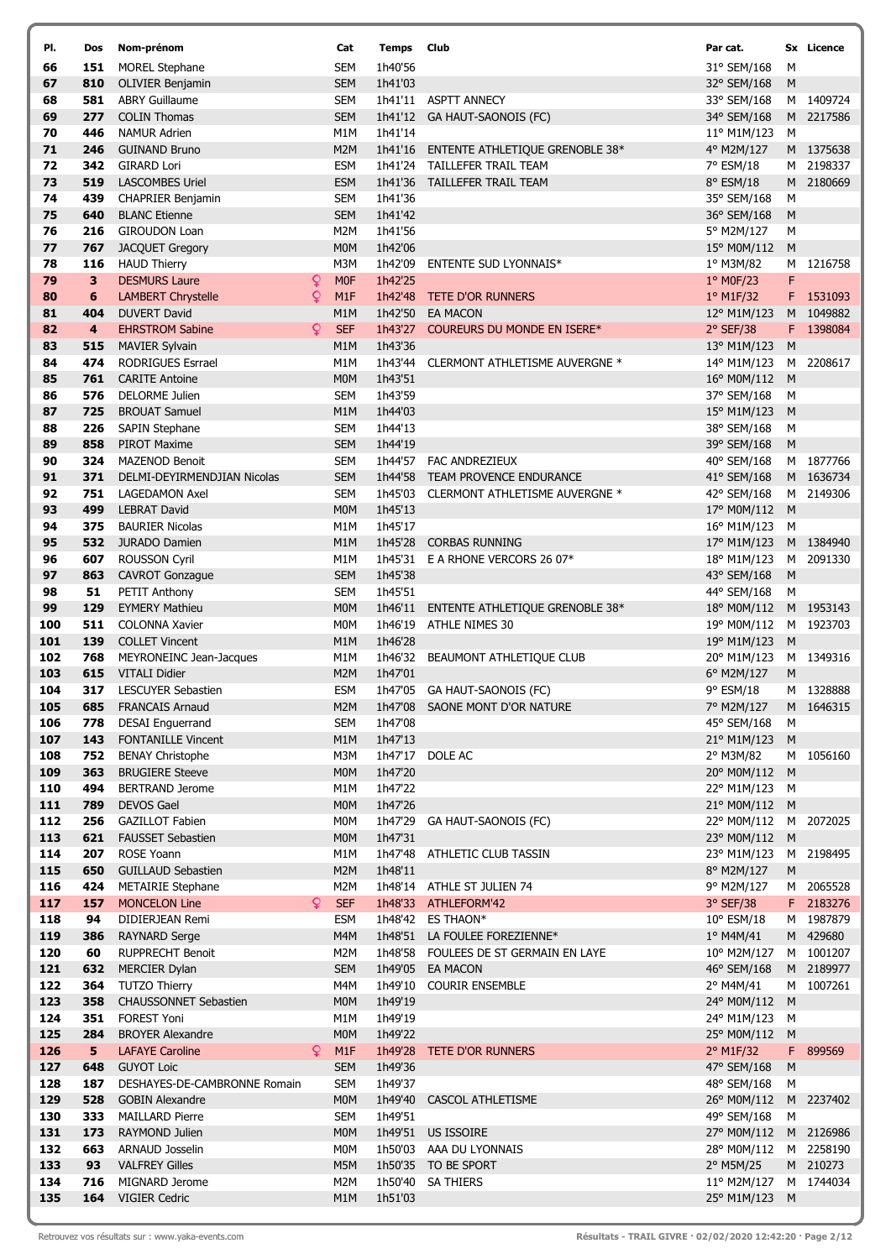| PI.        | Dos                            | Nom-prénom                                       |    | Cat                            | <b>Temps</b> Club  |                                                                         | Par cat.                     |           | Sx Licence             |
|------------|--------------------------------|--------------------------------------------------|----|--------------------------------|--------------------|-------------------------------------------------------------------------|------------------------------|-----------|------------------------|
| 66         | 151                            | <b>MOREL Stephane</b>                            |    | <b>SEM</b>                     | 1h40'56            |                                                                         | 31° SEM/168                  | М         |                        |
| 67         | 810                            | <b>OLIVIER Benjamin</b>                          |    | <b>SEM</b>                     | 1h41'03            |                                                                         | 32° SEM/168                  | ${\sf M}$ |                        |
| 68         | 581                            | <b>ABRY Guillaume</b>                            |    | <b>SEM</b>                     |                    | 1h41'11 ASPTT ANNECY                                                    | 33° SEM/168                  |           | M 1409724              |
| 69         | 277                            | <b>COLIN Thomas</b>                              |    | <b>SEM</b>                     |                    | 1h41'12 GA HAUT-SAONOIS (FC)                                            | 34° SEM/168                  |           | M 2217586              |
| 70<br>71   | 446                            | <b>NAMUR Adrien</b>                              |    | M1M                            | 1h41'14            |                                                                         | 11° M1M/123                  | M         |                        |
| 72         | 246<br>342                     | <b>GUINAND Bruno</b><br><b>GIRARD Lori</b>       |    | M <sub>2</sub> M<br><b>ESM</b> |                    | 1h41'16 ENTENTE ATHLETIQUE GRENOBLE 38*<br>1h41'24 TAILLEFER TRAIL TEAM | 4° M2M/127<br>7° ESM/18      |           | M 1375638<br>M 2198337 |
| 73         | 519                            | <b>LASCOMBES Uriel</b>                           |    | <b>ESM</b>                     |                    | 1h41'36 TAILLEFER TRAIL TEAM                                            | 8° ESM/18                    |           | M 2180669              |
| 74         | 439                            | <b>CHAPRIER Benjamin</b>                         |    | <b>SEM</b>                     | 1h41'36            |                                                                         | 35° SEM/168                  | М         |                        |
| 75         | 640                            | <b>BLANC Etienne</b>                             |    | <b>SEM</b>                     | 1h41'42            |                                                                         | 36° SEM/168                  | M         |                        |
| 76         | 216                            | <b>GIROUDON Loan</b>                             |    | M2M                            | 1h41'56            |                                                                         | 5° M2M/127                   | М         |                        |
| 77         | 767                            | <b>JACQUET Gregory</b>                           |    | M <sub>0</sub> M               | 1h42'06            |                                                                         | 15° M0M/112                  | M         |                        |
| 78         | 116                            | <b>HAUD Thierry</b>                              |    | M3M                            | 1h42'09            | <b>ENTENTE SUD LYONNAIS*</b>                                            | 1° M3M/82                    |           | M 1216758              |
| 79         | $\overline{\mathbf{3}}$        | <b>DESMURS Laure</b>                             | ₽  | <b>MOF</b>                     | 1h42'25            |                                                                         | 1° MOF/23                    | F         |                        |
| 80         | $6\phantom{1}$                 | <b>LAMBERT Chrystelle</b>                        | Q  | M1F                            | 1h42'48            | TETE D'OR RUNNERS                                                       | 1º M1F/32                    |           | F 1531093              |
| 81         | 404                            | <b>DUVERT David</b>                              |    | M1M                            | 1h42'50            | <b>EA MACON</b>                                                         | 12° M1M/123                  |           | M 1049882              |
| 82<br>83   | $\overline{\mathbf{4}}$<br>515 | <b>EHRSTROM Sabine</b><br><b>MAVIER Sylvain</b>  | Q  | <b>SEF</b><br>M <sub>1</sub> M | 1h43'27<br>1h43'36 | <b>COUREURS DU MONDE EN ISERE*</b>                                      | 2° SEF/38<br>13° M1M/123     | M         | F 1398084              |
| 84         | 474                            | RODRIGUES Esrrael                                |    | M1M                            | 1h43'44            | CLERMONT ATHLETISME AUVERGNE *                                          | 14° M1M/123                  | M         | 2208617                |
| 85         | 761                            | <b>CARITE Antoine</b>                            |    | M <sub>0</sub> M               | 1h43'51            |                                                                         | 16° M0M/112 M                |           |                        |
| 86         | 576                            | <b>DELORME Julien</b>                            |    | <b>SEM</b>                     | 1h43'59            |                                                                         | 37° SEM/168                  | M         |                        |
| 87         | 725                            | <b>BROUAT Samuel</b>                             |    | M1M                            | 1h44'03            |                                                                         | 15° M1M/123                  | M         |                        |
| 88         | 226                            | <b>SAPIN Stephane</b>                            |    | <b>SEM</b>                     | 1h44'13            |                                                                         | 38° SEM/168                  | M         |                        |
| 89         | 858                            | <b>PIROT Maxime</b>                              |    | <b>SEM</b>                     | 1h44'19            |                                                                         | 39° SEM/168                  | M         |                        |
| 90         | 324                            | <b>MAZENOD Benoit</b>                            |    | <b>SEM</b>                     |                    | 1h44'57 FAC ANDREZIEUX                                                  | 40° SEM/168                  |           | M 1877766              |
| 91         | 371                            | DELMI-DEYIRMENDJIAN Nicolas                      |    | <b>SEM</b>                     | 1h44'58            | TEAM PROVENCE ENDURANCE                                                 | 41° SEM/168                  |           | M 1636734              |
| 92         | 751                            | <b>LAGEDAMON Axel</b>                            |    | <b>SEM</b>                     |                    | 1h45'03 CLERMONT ATHLETISME AUVERGNE *                                  | 42° SEM/168                  |           | M 2149306              |
| 93         | 499                            | <b>LEBRAT David</b>                              |    | <b>MOM</b>                     | 1h45'13            |                                                                         | 17° M0M/112                  | M         |                        |
| 94<br>95   | 375<br>532                     | <b>BAURIER Nicolas</b><br><b>JURADO Damien</b>   |    | M1M<br>M1M                     | 1h45'17<br>1h45'28 | <b>CORBAS RUNNING</b>                                                   | 16° M1M/123<br>17° M1M/123   | M         | M 1384940              |
| 96         | 607                            | <b>ROUSSON Cyril</b>                             |    | M1M                            |                    | 1h45'31 E A RHONE VERCORS 26 07*                                        | 18° M1M/123                  |           | M 2091330              |
| 97         | 863                            | <b>CAVROT Gonzague</b>                           |    | <b>SEM</b>                     | 1h45'38            |                                                                         | 43° SEM/168                  | M         |                        |
| 98         | 51                             | PETIT Anthony                                    |    | <b>SEM</b>                     | 1h45'51            |                                                                         | 44° SEM/168                  | м         |                        |
| 99         | 129                            | <b>EYMERY Mathieu</b>                            |    | M <sub>0</sub> M               | 1h46'11            | ENTENTE ATHLETIQUE GRENOBLE 38*                                         | 18° M0M/112                  |           | M 1953143              |
| 100        | 511                            | <b>COLONNA Xavier</b>                            |    | M0M                            | 1h46'19            | <b>ATHLE NIMES 30</b>                                                   | 19° M0M/112                  |           | M 1923703              |
| 101        | 139                            | <b>COLLET Vincent</b>                            |    | M1M                            | 1h46'28            |                                                                         | 19° M1M/123                  | M         |                        |
| 102        | 768                            | MEYRONEINC Jean-Jacques                          |    | M1M                            | 1h46'32            | BEAUMONT ATHLETIQUE CLUB                                                | 20° M1M/123                  |           | M 1349316              |
| 103        | 615                            | <b>VITALI Didier</b>                             |    | M2M                            | 1h47'01            |                                                                         | 6° M2M/127                   | M         |                        |
| 104<br>105 | 317                            | <b>LESCUYER Sebastien</b><br>685 FRANCAIS Arnaud |    | ESM<br>M2M                     |                    | 1h47'05 GA HAUT-SAONOIS (FC)<br>1h47'08 SAONE MONT D'OR NATURE          | 9° ESM/18<br>7° M2M/127      |           | M 1328888<br>M 1646315 |
| 106        | 778                            | <b>DESAI Enguerrand</b>                          |    | <b>SEM</b>                     | 1h47'08            |                                                                         | 45° SEM/168                  | M         |                        |
| 107        | 143                            | <b>FONTANILLE Vincent</b>                        |    | M1M                            | 1h47'13            |                                                                         | 21° M1M/123 M                |           |                        |
| 108        | 752                            | <b>BENAY Christophe</b>                          |    | M3M                            |                    | 1h47'17 DOLE AC                                                         | 2° M3M/82                    |           | M 1056160              |
| 109        | 363                            | <b>BRUGIERE Steeve</b>                           |    | M0M                            | 1h47'20            |                                                                         | 20° M0M/112 M                |           |                        |
| 110        | 494                            | <b>BERTRAND Jerome</b>                           |    | M1M                            | 1h47'22            |                                                                         | 22° M1M/123                  | M         |                        |
| 111        | 789                            | <b>DEVOS Gael</b>                                |    | M <sub>0</sub> M               | 1h47'26            |                                                                         | 21° M0M/112 M                |           |                        |
| 112        | 256                            | <b>GAZILLOT Fabien</b>                           |    | M0M                            |                    | 1h47'29 GA HAUT-SAONOIS (FC)                                            | 22° M0M/112 M 2072025        |           |                        |
| 113        | 621                            | <b>FAUSSET Sebastien</b>                         |    | <b>MOM</b>                     | 1h47'31            |                                                                         | 23° M0M/112 M                |           |                        |
| 114<br>115 | 207<br>650                     | ROSE Yoann<br><b>GUILLAUD Sebastien</b>          |    | M1M<br>M2M                     | 1h48'11            | 1h47'48 ATHLETIC CLUB TASSIN                                            | 23° M1M/123<br>8° M2M/127    | ${\sf M}$ | M 2198495              |
| 116        | 424                            | <b>METAIRIE Stephane</b>                         |    | M2M                            |                    | 1h48'14 ATHLE ST JULIEN 74                                              | 9° M2M/127                   |           | M 2065528              |
| 117        | 157                            | <b>MONCELON Line</b>                             | Q. | <b>SEF</b>                     |                    | 1h48'33 ATHLEFORM'42                                                    | 3° SEF/38                    |           | F 2183276              |
| 118        | 94                             | DIDIERJEAN Remi                                  |    | ESM                            |                    | 1h48'42 ES THAON*                                                       | 10° ESM/18                   |           | M 1987879              |
| 119        | 386                            | <b>RAYNARD Serge</b>                             |    | M4M                            |                    | 1h48'51 LA FOULEE FOREZIENNE*                                           | 1° M4M/41                    |           | M 429680               |
| 120        | 60                             | <b>RUPPRECHT Benoit</b>                          |    | M2M                            |                    | 1h48'58 FOULEES DE ST GERMAIN EN LAYE                                   | 10° M2M/127                  |           | M 1001207              |
| 121        | 632                            | <b>MERCIER Dylan</b>                             |    | <b>SEM</b>                     | 1h49'05            | <b>EA MACON</b>                                                         | 46° SEM/168                  |           | M 2189977              |
| 122        | 364                            | <b>TUTZO Thierry</b>                             |    | M4M                            | 1h49'10            | <b>COURIR ENSEMBLE</b>                                                  | 2° M4M/41                    |           | M 1007261              |
| 123        | 358                            | <b>CHAUSSONNET Sebastien</b>                     |    | <b>MOM</b>                     | 1h49'19            |                                                                         | 24° M0M/112 M                |           |                        |
| 124<br>125 | 351<br>284                     | <b>FOREST Yoni</b><br><b>BROYER Alexandre</b>    |    | M1M<br><b>MOM</b>              | 1h49'19<br>1h49'22 |                                                                         | 24° M1M/123<br>25° M0M/112 M | M         |                        |
| 126        | 5 <sub>5</sub>                 | <b>LAFAYE Caroline</b>                           | Q. | M1F                            |                    | 1h49'28 TETE D'OR RUNNERS                                               | 2° M1F/32                    |           | F 899569               |
| 127        | 648                            | <b>GUYOT Loic</b>                                |    | <b>SEM</b>                     | 1h49'36            |                                                                         | 47° SEM/168                  | M         |                        |
| 128        | 187                            | DESHAYES-DE-CAMBRONNE Romain                     |    | <b>SEM</b>                     | 1h49'37            |                                                                         | 48° SEM/168                  | M         |                        |
| 129        | 528                            | <b>GOBIN Alexandre</b>                           |    | <b>MOM</b>                     | 1h49'40            | CASCOL ATHLETISME                                                       | 26° M0M/112                  |           | M 2237402              |
| 130        | 333                            | <b>MAILLARD Pierre</b>                           |    | <b>SEM</b>                     | 1h49'51            |                                                                         | 49° SEM/168                  | м         |                        |
| 131        | 173                            | RAYMOND Julien                                   |    | <b>MOM</b>                     |                    | 1h49'51 US ISSOIRE                                                      | 27° M0M/112                  |           | M 2126986              |
| 132        | 663                            | ARNAUD Josselin                                  |    | M0M                            |                    | 1h50'03 AAA DU LYONNAIS                                                 | 28° M0M/112                  |           | M 2258190              |
| 133        | 93                             | <b>VALFREY Gilles</b>                            |    | M5M                            |                    | 1h50'35 TO BE SPORT                                                     | 2° M5M/25                    |           | M 210273               |
| 134<br>135 | 716                            | MIGNARD Jerome<br>164 VIGIER Cedric              |    | M2M<br>M1M                     | 1h51'03            | 1h50'40 SA THIERS                                                       | 11° M2M/127<br>25° M1M/123 M |           | M 1744034              |
|            |                                |                                                  |    |                                |                    |                                                                         |                              |           |                        |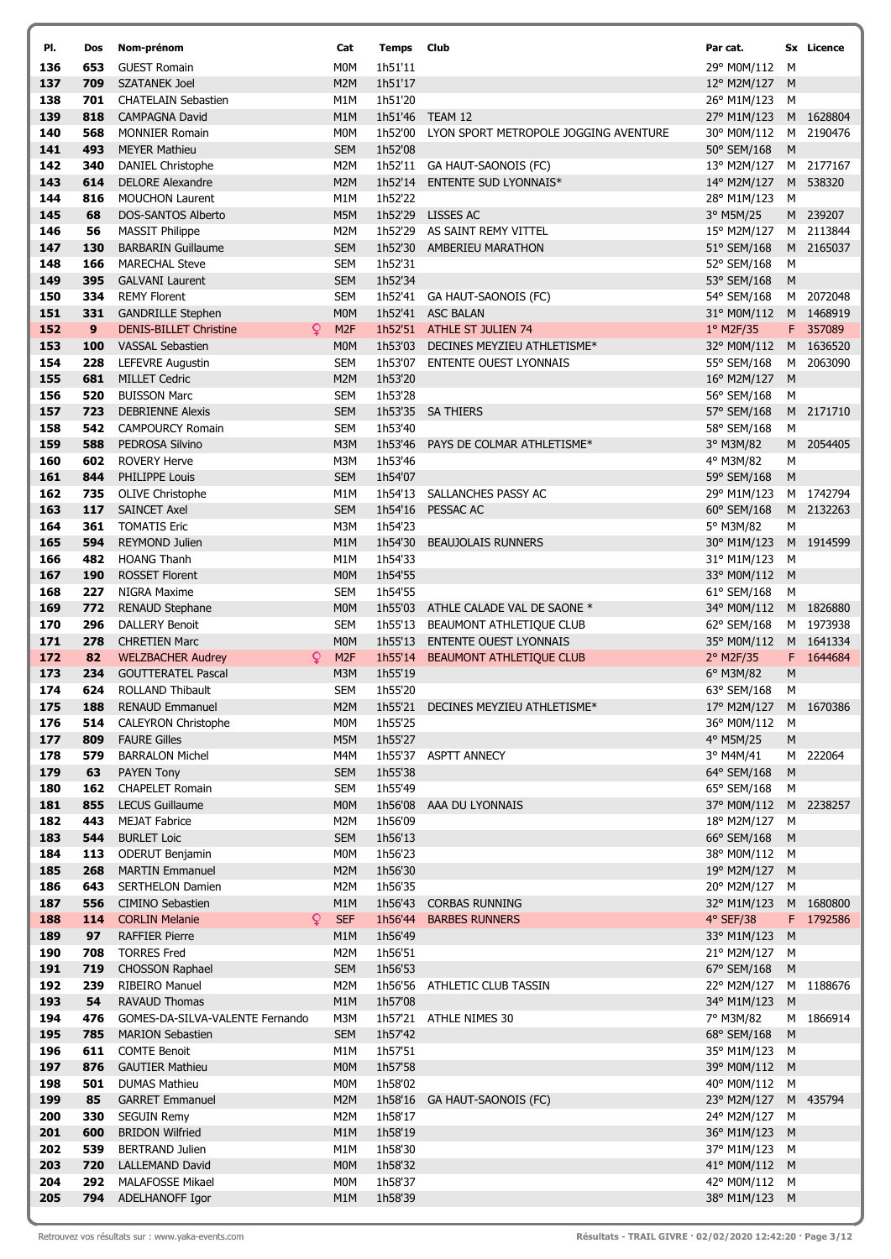| PI.        | Dos        | Nom-prénom                                          | Cat                                  | <b>Temps Club</b>  |                                         | Par cat.                   |                | Sx Licence             |
|------------|------------|-----------------------------------------------------|--------------------------------------|--------------------|-----------------------------------------|----------------------------|----------------|------------------------|
| 136        | 653        | <b>GUEST Romain</b>                                 | M <sub>0</sub> M                     | 1h51'11            |                                         | 29° M0M/112                | м              |                        |
| 137        | 709        | <b>SZATANEK Joel</b>                                | M <sub>2</sub> M                     | 1h51'17            |                                         | 12° M2M/127                | M              |                        |
| 138        | 701        | <b>CHATELAIN Sebastien</b>                          | M1M                                  | 1h51'20            |                                         | 26° M1M/123                | м              |                        |
| 139        | 818        | <b>CAMPAGNA David</b>                               | M <sub>1</sub> M                     |                    | 1h51'46 TEAM 12                         | 27° M1M/123                |                | M 1628804              |
| 140        | 568        | <b>MONNIER Romain</b>                               | M0M                                  | 1h52'00            | LYON SPORT METROPOLE JOGGING AVENTURE   | 30° M0M/112                |                | M 2190476              |
| 141        | 493        | <b>MEYER Mathieu</b>                                | <b>SEM</b>                           | 1h52'08            |                                         | 50° SEM/168                | M              |                        |
| 142<br>143 | 340        | <b>DANIEL Christophe</b><br><b>DELORE Alexandre</b> | M2M                                  |                    | 1h52'11 GA HAUT-SAONOIS (FC)            | 13° M2M/127                |                | M 2177167<br>M 538320  |
| 144        | 614<br>816 | <b>MOUCHON Laurent</b>                              | M <sub>2</sub> M<br>M1M              | 1h52'14<br>1h52'22 | <b>ENTENTE SUD LYONNAIS*</b>            | 14° M2M/127<br>28° M1M/123 | M              |                        |
| 145        | 68         | <b>DOS-SANTOS Alberto</b>                           | M5M                                  |                    | 1h52'29 LISSES AC                       | 3° M5M/25                  |                | M 239207               |
| 146        | 56         | <b>MASSIT Philippe</b>                              | M2M                                  |                    | 1h52'29 AS SAINT REMY VITTEL            | 15° M2M/127                |                | M 2113844              |
| 147        | 130        | <b>BARBARIN Guillaume</b>                           | <b>SEM</b>                           | 1h52'30            | AMBERIEU MARATHON                       | 51° SEM/168                |                | M 2165037              |
| 148        | 166        | <b>MARECHAL Steve</b>                               | <b>SEM</b>                           | 1h52'31            |                                         | 52° SEM/168                | м              |                        |
| 149        | 395        | <b>GALVANI Laurent</b>                              | <b>SEM</b>                           | 1h52'34            |                                         | 53° SEM/168                | M              |                        |
| 150        | 334        | <b>REMY Florent</b>                                 | <b>SEM</b>                           |                    | 1h52'41 GA HAUT-SAONOIS (FC)            | 54° SEM/168                |                | M 2072048              |
| 151        | 331        | <b>GANDRILLE Stephen</b>                            | M <sub>0</sub> M                     |                    | 1h52'41 ASC BALAN                       | 31° M0M/112                |                | M 1468919              |
| 152        | 9          | Q.<br><b>DENIS-BILLET Christine</b>                 | M <sub>2F</sub>                      |                    | 1h52'51 ATHLE ST JULIEN 74              | 1º M2F/35                  |                | F 357089               |
| 153<br>154 | 100        | <b>VASSAL Sebastien</b>                             | <b>MOM</b>                           |                    | 1h53'03 DECINES MEYZIEU ATHLETISME*     | 32° M0M/112                |                | M 1636520<br>M 2063090 |
| 155        | 228<br>681 | <b>LEFEVRE Augustin</b><br><b>MILLET Cedric</b>     | <b>SEM</b><br>M <sub>2</sub> M       | 1h53'20            | 1h53'07 ENTENTE OUEST LYONNAIS          | 55° SEM/168<br>16° M2M/127 | M              |                        |
| 156        | 520        | <b>BUISSON Marc</b>                                 | <b>SEM</b>                           | 1h53'28            |                                         | 56° SEM/168                | M              |                        |
| 157        | 723        | <b>DEBRIENNE Alexis</b>                             | <b>SEM</b>                           |                    | 1h53'35 SA THIERS                       | 57° SEM/168                |                | M 2171710              |
| 158        | 542        | <b>CAMPOURCY Romain</b>                             | <b>SEM</b>                           | 1h53'40            |                                         | 58° SEM/168                | м              |                        |
| 159        | 588        | PEDROSA Silvino                                     | M3M                                  | 1h53'46            | PAYS DE COLMAR ATHLETISME*              | 3° M3M/82                  |                | M 2054405              |
| 160        | 602        | <b>ROVERY Herve</b>                                 | M3M                                  | 1h53'46            |                                         | 4° M3M/82                  | М              |                        |
| 161        | 844        | <b>PHILIPPE Louis</b>                               | <b>SEM</b>                           | 1h54'07            |                                         | 59° SEM/168                | M              |                        |
| 162        | 735        | <b>OLIVE Christophe</b>                             | M <sub>1</sub> M                     |                    | 1h54'13 SALLANCHES PASSY AC             | 29° M1M/123                |                | M 1742794              |
| 163        | 117        | <b>SAINCET Axel</b>                                 | <b>SEM</b>                           |                    | 1h54'16 PESSAC AC                       | 60° SEM/168                |                | M 2132263              |
| 164        | 361        | <b>TOMATIS Eric</b>                                 | M3M                                  | 1h54'23            |                                         | 5° M3M/82                  | M              |                        |
| 165<br>166 | 594<br>482 | <b>REYMOND Julien</b><br><b>HOANG Thanh</b>         | M <sub>1</sub> M<br>M <sub>1</sub> M | 1h54'30<br>1h54'33 | <b>BEAUJOLAIS RUNNERS</b>               | 30° M1M/123<br>31° M1M/123 | M              | M 1914599              |
| 167        | 190        | <b>ROSSET Florent</b>                               | M <sub>0</sub> M                     | 1h54'55            |                                         | 33° M0M/112                | M              |                        |
| 168        | 227        | NIGRA Maxime                                        | <b>SEM</b>                           | 1h54'55            |                                         | 61° SEM/168                | M              |                        |
| 169        | 772        | <b>RENAUD Stephane</b>                              | M <sub>0</sub> M                     |                    | 1h55'03 ATHLE CALADE VAL DE SAONE *     | 34° M0M/112                |                | M 1826880              |
| 170        | 296        | <b>DALLERY Benoit</b>                               | <b>SEM</b>                           | 1h55'13            | BEAUMONT ATHLETIQUE CLUB                | 62° SEM/168                |                | M 1973938              |
| 171        | 278        | <b>CHRETIEN Marc</b>                                | M <sub>0</sub> M                     | 1h55'13            | <b>ENTENTE OUEST LYONNAIS</b>           | 35° M0M/112                |                | M 1641334              |
| 172        | 82         | Q<br><b>WELZBACHER Audrey</b>                       | M <sub>2F</sub>                      | 1h55'14            | BEAUMONT ATHLETIQUE CLUB                | 2° M2F/35                  |                | F 1644684              |
| 173        | 234        | <b>GOUTTERATEL Pascal</b>                           | M3M                                  | 1h55'19            |                                         | 6° M3M/82                  | M              |                        |
| 174        | 624        | <b>ROLLAND Thibault</b>                             | <b>SEM</b>                           | 1h55'20            |                                         | 63° SEM/168                | м              |                        |
| 175        |            | 188 RENAUD Emmanuel                                 |                                      |                    | M2M 1h55'21 DECINES MEYZIEU ATHLETISME* | 17° M2M/127 M 1670386      |                |                        |
| 176<br>177 | 514<br>809 | <b>CALEYRON Christophe</b><br><b>FAURE Gilles</b>   | M0M<br>M5M                           | 1h55'25<br>1h55'27 |                                         | 36° M0M/112<br>4° M5M/25   | м<br>${\sf M}$ |                        |
| 178        | 579        | <b>BARRALON Michel</b>                              | M4M                                  |                    | 1h55'37 ASPTT ANNECY                    | 3° M4M/41                  |                | M 222064               |
| 179        | 63         | <b>PAYEN Tony</b>                                   | <b>SEM</b>                           | 1h55'38            |                                         | 64° SEM/168                | M              |                        |
| 180        | 162        | <b>CHAPELET Romain</b>                              | <b>SEM</b>                           | 1h55'49            |                                         | 65° SEM/168                | M              |                        |
| 181        | 855        | <b>LECUS Guillaume</b>                              | M <sub>0</sub> M                     | 1h56'08            | AAA DU LYONNAIS                         | 37° M0M/112                |                | M 2238257              |
| 182        | 443        | <b>MEJAT Fabrice</b>                                | M2M                                  | 1h56'09            |                                         | 18° M2M/127                | М              |                        |
| 183        | 544        | <b>BURLET Loic</b>                                  | <b>SEM</b>                           | 1h56'13            |                                         | 66° SEM/168                | M              |                        |
| 184        | 113        | <b>ODERUT Benjamin</b>                              | M <sub>0</sub> M                     | 1h56'23            |                                         | 38° M0M/112                | М              |                        |
| 185        | 268        | <b>MARTIN Emmanuel</b>                              | M <sub>2</sub> M                     | 1h56'30            |                                         | 19° M2M/127                | M              |                        |
| 186<br>187 | 643<br>556 | <b>SERTHELON Damien</b><br><b>CIMINO Sebastien</b>  | M2M<br>M <sub>1</sub> M              | 1h56'35<br>1h56'43 | <b>CORBAS RUNNING</b>                   | 20° M2M/127<br>32° M1M/123 | M              | M 1680800              |
| 188        | 114        | Q<br><b>CORLIN Melanie</b>                          | <b>SEF</b>                           | 1h56'44            | <b>BARBES RUNNERS</b>                   | 4° SEF/38                  |                | F 1792586              |
| 189        | 97         | <b>RAFFIER Pierre</b>                               | M1M                                  | 1h56'49            |                                         | 33° M1M/123                | M              |                        |
| 190        | 708        | <b>TORRES Fred</b>                                  | M2M                                  | 1h56'51            |                                         | 21° M2M/127                | M              |                        |
| 191        | 719        | <b>CHOSSON Raphael</b>                              | <b>SEM</b>                           | 1h56'53            |                                         | 67° SEM/168                | M              |                        |
| 192        | 239        | <b>RIBEIRO Manuel</b>                               | M2M                                  |                    | 1h56'56 ATHLETIC CLUB TASSIN            | 22° M2M/127                |                | M 1188676              |
| 193        | 54         | <b>RAVAUD Thomas</b>                                | M <sub>1</sub> M                     | 1h57'08            |                                         | 34° M1M/123                | M              |                        |
| 194        | 476        | GOMES-DA-SILVA-VALENTE Fernando                     | M3M                                  | 1h57'21            | ATHLE NIMES 30                          | 7° M3M/82                  |                | M 1866914              |
| 195        | 785        | <b>MARION Sebastien</b>                             | <b>SEM</b>                           | 1h57'42            |                                         | 68° SEM/168                | M              |                        |
| 196        | 611        | <b>COMTE Benoit</b>                                 | M1M                                  | 1h57'51            |                                         | 35° M1M/123                | м              |                        |
| 197<br>198 | 876<br>501 | <b>GAUTIER Mathieu</b><br><b>DUMAS Mathieu</b>      | <b>MOM</b><br>M0M                    | 1h57'58<br>1h58'02 |                                         | 39° M0M/112<br>40° M0M/112 | M<br>M         |                        |
| 199        | 85         | <b>GARRET Emmanuel</b>                              | M <sub>2</sub> M                     | 1h58'16            | GA HAUT-SAONOIS (FC)                    | 23° M2M/127                |                | M 435794               |
| 200        | 330        | <b>SEGUIN Remy</b>                                  | M2M                                  | 1h58'17            |                                         | 24° M2M/127                | M              |                        |
| 201        | 600        | <b>BRIDON Wilfried</b>                              | M1M                                  | 1h58'19            |                                         | 36° M1M/123 M              |                |                        |
| 202        | 539        | <b>BERTRAND Julien</b>                              | M1M                                  | 1h58'30            |                                         | 37° M1M/123                | м              |                        |
| 203        | 720        | <b>LALLEMAND David</b>                              | <b>MOM</b>                           | 1h58'32            |                                         | 41° M0M/112 M              |                |                        |
| 204        | 292        | <b>MALAFOSSE Mikael</b>                             | M0M                                  | 1h58'37            |                                         | 42° M0M/112 M              |                |                        |
| 205        | 794        | ADELHANOFF Igor                                     | M <sub>1</sub> M                     | 1h58'39            |                                         | 38° M1M/123 M              |                |                        |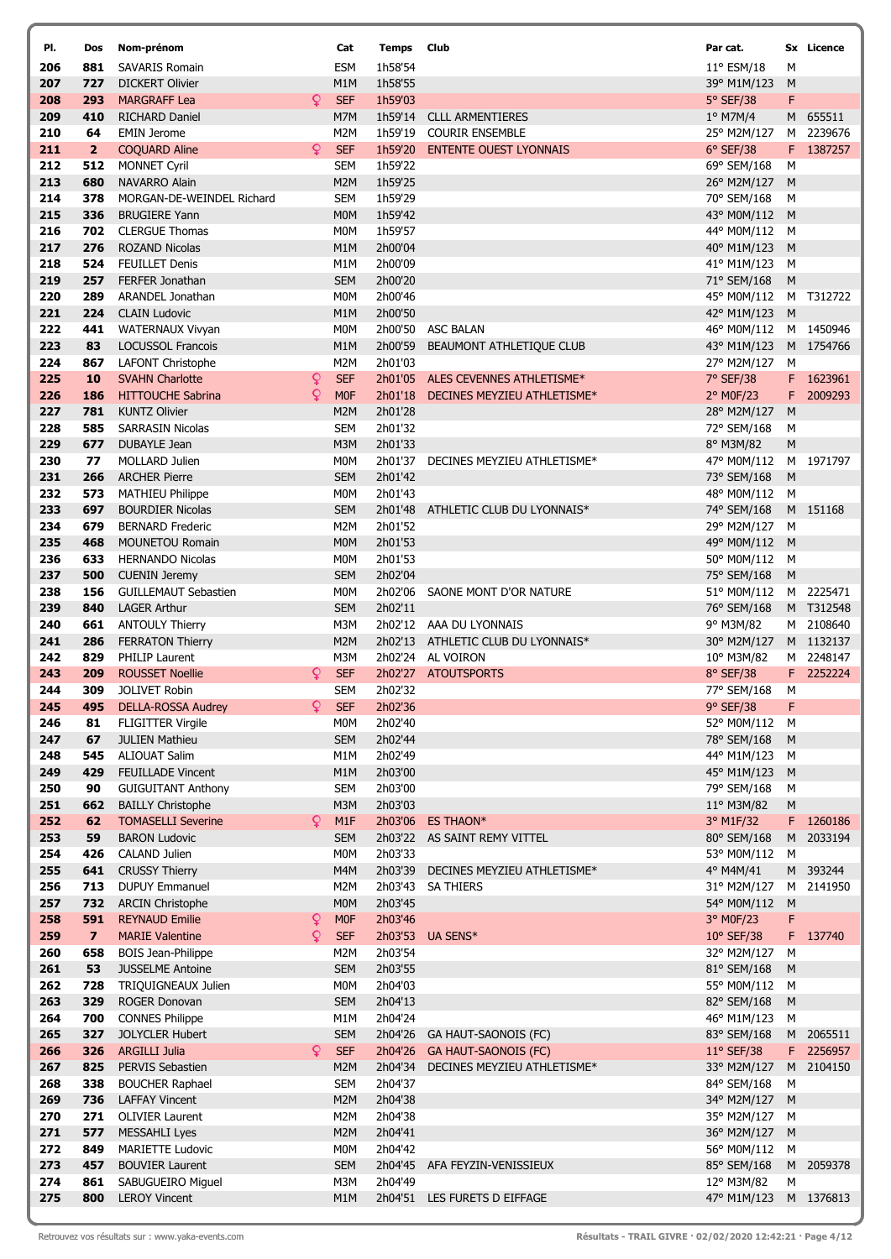| PI.        | Dos                     | Nom-prénom                                            | Cat                                | <b>Temps</b> Club  |                                    | Par cat.                   |           | Sx Licence             |
|------------|-------------------------|-------------------------------------------------------|------------------------------------|--------------------|------------------------------------|----------------------------|-----------|------------------------|
| 206        | 881                     | <b>SAVARIS Romain</b>                                 | <b>ESM</b>                         | 1h58'54            |                                    | 11° ESM/18                 | М         |                        |
| 207        | 727                     | <b>DICKERT Olivier</b>                                | M1M                                | 1h58'55            |                                    | 39° M1M/123                | M         |                        |
| 208        | 293                     | <b>MARGRAFF Lea</b>                                   | Q<br><b>SEF</b>                    | 1h59'03            |                                    | 5° SEF/38                  | F         |                        |
| 209        | 410                     | <b>RICHARD Daniel</b>                                 | M7M                                | 1h59'14            | <b>CLLL ARMENTIERES</b>            | 1° M7M/4                   |           | M 655511               |
| 210        | 64                      | <b>EMIN Jerome</b>                                    | M <sub>2</sub> M                   | 1h59'19            | <b>COURIR ENSEMBLE</b>             | 25° M2M/127                |           | M 2239676              |
| 211        | $\overline{2}$          | <b>COQUARD Aline</b>                                  | Q<br><b>SEF</b>                    | 1h59'20            | <b>ENTENTE OUEST LYONNAIS</b>      | $6°$ SEF/38                |           | F 1387257              |
| 212<br>213 | 512<br>680              | <b>MONNET Cyril</b><br><b>NAVARRO Alain</b>           | <b>SEM</b><br>M2M                  | 1h59'22<br>1h59'25 |                                    | 69° SEM/168<br>26° M2M/127 | М<br>M    |                        |
| 214        | 378                     | MORGAN-DE-WEINDEL Richard                             | <b>SEM</b>                         | 1h59'29            |                                    | 70° SEM/168                | M         |                        |
| 215        | 336                     | <b>BRUGIERE Yann</b>                                  | M <sub>0</sub> M                   | 1h59'42            |                                    | 43° M0M/112                | M         |                        |
| 216        | 702                     | <b>CLERGUE Thomas</b>                                 | M0M                                | 1h59'57            |                                    | 44° M0M/112                | M         |                        |
| 217        | 276                     | <b>ROZAND Nicolas</b>                                 | M <sub>1</sub> M                   | 2h00'04            |                                    | 40° M1M/123                | M         |                        |
| 218        | 524                     | <b>FEUILLET Denis</b>                                 | M1M                                | 2h00'09            |                                    | 41° M1M/123                | м         |                        |
| 219        | 257                     | <b>FERFER Jonathan</b>                                | <b>SEM</b>                         | 2h00'20            |                                    | 71° SEM/168                | M         |                        |
| 220        | 289                     | ARANDEL Jonathan                                      | M0M                                | 2h00'46            |                                    | 45° M0M/112                |           | M T312722              |
| 221        | 224                     | <b>CLAIN Ludovic</b>                                  | M1M                                | 2h00'50            |                                    | 42° M1M/123                | M         |                        |
| 222        | 441                     | <b>WATERNAUX Vivyan</b>                               | M0M                                | 2h00'50            | <b>ASC BALAN</b>                   | 46° M0M/112                |           | M 1450946              |
| 223        | 83                      | <b>LOCUSSOL Francois</b>                              | M <sub>1</sub> M                   | 2h00'59            | BEAUMONT ATHLETIQUE CLUB           | 43° M1M/123                |           | M 1754766              |
| 224        | 867                     | <b>LAFONT Christophe</b>                              | M2M                                | 2h01'03<br>2h01'05 |                                    | 27° M2M/127                | М         |                        |
| 225<br>226 | 10                      | <b>SVAHN Charlotte</b><br><b>HITTOUCHE Sabrina</b>    | ¥<br><b>SEF</b><br>Q<br><b>MOF</b> | 2h01'18            | ALES CEVENNES ATHLETISME*          | 7° SEF/38                  |           | F 1623961<br>2009293   |
| 227        | 186<br>781              | <b>KUNTZ Olivier</b>                                  | M <sub>2</sub> M                   | 2h01'28            | DECINES MEYZIEU ATHLETISME*        | 2° MOF/23<br>28° M2M/127   | F<br>M    |                        |
| 228        | 585                     | <b>SARRASIN Nicolas</b>                               | <b>SEM</b>                         | 2h01'32            |                                    | 72° SEM/168                | М         |                        |
| 229        | 677                     | <b>DUBAYLE Jean</b>                                   | M3M                                | 2h01'33            |                                    | 8° M3M/82                  | М         |                        |
| 230        | 77                      | <b>MOLLARD Julien</b>                                 | <b>MOM</b>                         | 2h01'37            | DECINES MEYZIEU ATHLETISME*        | 47° M0M/112                | М         | 1971797                |
| 231        | 266                     | <b>ARCHER Pierre</b>                                  | <b>SEM</b>                         | 2h01'42            |                                    | 73° SEM/168                | ${\sf M}$ |                        |
| 232        | 573                     | <b>MATHIEU Philippe</b>                               | M0M                                | 2h01'43            |                                    | 48° M0M/112                | M         |                        |
| 233        | 697                     | <b>BOURDIER Nicolas</b>                               | <b>SEM</b>                         | 2h01'48            | ATHLETIC CLUB DU LYONNAIS*         | 74° SEM/168                |           | M 151168               |
| 234        | 679                     | <b>BERNARD Frederic</b>                               | M2M                                | 2h01'52            |                                    | 29° M2M/127                | м         |                        |
| 235        | 468                     | <b>MOUNETOU Romain</b>                                | <b>MOM</b>                         | 2h01'53            |                                    | 49° M0M/112                | M         |                        |
| 236        | 633                     | <b>HERNANDO Nicolas</b>                               | M <sub>0</sub> M                   | 2h01'53            |                                    | 50° M0M/112                | M         |                        |
| 237        | 500                     | <b>CUENIN Jeremy</b>                                  | <b>SEM</b>                         | 2h02'04            |                                    | 75° SEM/168                | M         |                        |
| 238        | 156                     | <b>GUILLEMAUT Sebastien</b>                           | M0M                                | 2h02'06            | SAONE MONT D'OR NATURE             | 51° M0M/112                |           | M 2225471              |
| 239<br>240 | 840<br>661              | <b>LAGER Arthur</b><br><b>ANTOULY Thierry</b>         | <b>SEM</b><br>M3M                  | 2h02'11            | 2h02'12 AAA DU LYONNAIS            | 76° SEM/168<br>9° M3M/82   |           | M T312548<br>M 2108640 |
| 241        | 286                     | <b>FERRATON Thierry</b>                               | M <sub>2</sub> M                   |                    | 2h02'13 ATHLETIC CLUB DU LYONNAIS* | 30° M2M/127                |           | M 1132137              |
| 242        | 829                     | <b>PHILIP Laurent</b>                                 | M3M                                |                    | 2h02'24 AL VOIRON                  | 10° M3M/82                 |           | M 2248147              |
| 243        | 209                     | Q<br><b>ROUSSET Noellie</b>                           | <b>SEF</b>                         |                    | 2h02'27 ATOUTSPORTS                | 8° SEF/38                  |           | F 2252224              |
| 244        | 309                     | <b>JOLIVET Robin</b>                                  | <b>SEM</b>                         | 2h02'32            |                                    | 77° SEM/168                | M         |                        |
| 245        |                         | 495 DELLA-ROSSA Audrey                                | Q<br><b>SEF</b>                    | 2h02'36            |                                    | 9° SEF/38                  | F         |                        |
| 246        | 81                      | <b>FLIGITTER Virgile</b>                              | M <sub>0</sub> M                   | 2h02'40            |                                    | 52° M0M/112 M              |           |                        |
| 247        | 67                      | <b>JULIEN Mathieu</b>                                 | <b>SEM</b>                         | 2h02'44            |                                    | 78° SEM/168                | M         |                        |
| 248        | 545                     | <b>ALIOUAT Salim</b>                                  | M1M                                | 2h02'49            |                                    | 44° M1M/123                | M         |                        |
| 249        | 429                     | <b>FEUILLADE Vincent</b>                              | M1M                                | 2h03'00            |                                    | 45° M1M/123                | M         |                        |
| 250<br>251 | 90<br>662               | <b>GUIGUITANT Anthony</b><br><b>BAILLY Christophe</b> | <b>SEM</b><br>M3M                  | 2h03'00<br>2h03'03 |                                    | 79° SEM/168<br>11° M3M/82  | M<br>M    |                        |
| 252        | 62                      | <b>TOMASELLI Severine</b>                             | Q<br>M1F                           | 2h03'06            | <b>ES THAON*</b>                   | 3° M1F/32                  |           | F 1260186              |
| 253        | 59                      | <b>BARON Ludovic</b>                                  | <b>SEM</b>                         |                    | 2h03'22 AS SAINT REMY VITTEL       | 80° SEM/168                |           | M 2033194              |
| 254        | 426                     | <b>CALAND Julien</b>                                  | M <sub>0</sub> M                   | 2h03'33            |                                    | 53° M0M/112                | M         |                        |
| 255        | 641                     | <b>CRUSSY Thierry</b>                                 | M4M                                | 2h03'39            | DECINES MEYZIEU ATHLETISME*        | 4° M4M/41                  |           | M 393244               |
| 256        | 713                     | <b>DUPUY Emmanuel</b>                                 | M2M                                | 2h03'43            | <b>SA THIERS</b>                   | 31° M2M/127                |           | M 2141950              |
| 257        | 732                     | <b>ARCIN Christophe</b>                               | <b>MOM</b>                         | 2h03'45            |                                    | 54° M0M/112                | M         |                        |
| 258        | 591                     | <b>REYNAUD Emilie</b>                                 | <b>MOF</b><br>Q                    | 2h03'46            |                                    | 3° M0F/23                  | F         |                        |
| 259        | $\overline{\mathbf{z}}$ | <b>MARIE Valentine</b>                                | Q<br><b>SEF</b>                    | 2h03'53            | UA SENS*                           | 10° SEF/38                 | F.        | 137740                 |
| 260        | 658                     | <b>BOIS Jean-Philippe</b>                             | M2M                                | 2h03'54            |                                    | 32° M2M/127                | М         |                        |
| 261<br>262 | 53<br>728               | <b>JUSSELME Antoine</b><br>TRIQUIGNEAUX Julien        | <b>SEM</b><br>M0M                  | 2h03'55<br>2h04'03 |                                    | 81° SEM/168<br>55° M0M/112 | M<br>M    |                        |
| 263        | 329                     | ROGER Donovan                                         | <b>SEM</b>                         | 2h04'13            |                                    | 82° SEM/168                | ${\sf M}$ |                        |
| 264        | 700                     | <b>CONNES Philippe</b>                                | M1M                                | 2h04'24            |                                    | 46° M1M/123                | м         |                        |
| 265        | 327                     | JOLYCLER Hubert                                       | <b>SEM</b>                         | 2h04'26            | GA HAUT-SAONOIS (FC)               | 83° SEM/168                |           | M 2065511              |
| 266        | 326                     | <b>ARGILLI Julia</b>                                  | Q<br><b>SEF</b>                    |                    | 2h04'26 GA HAUT-SAONOIS (FC)       | $11^{\circ}$ SEF/38        |           | F 2256957              |
| 267        | 825                     | <b>PERVIS Sebastien</b>                               | M2M                                | 2h04'34            | DECINES MEYZIEU ATHLETISME*        | 33° M2M/127                |           | M 2104150              |
| 268        | 338                     | <b>BOUCHER Raphael</b>                                | <b>SEM</b>                         | 2h04'37            |                                    | 84° SEM/168                | М         |                        |
| 269        | 736                     | <b>LAFFAY Vincent</b>                                 | M2M                                | 2h04'38            |                                    | 34° M2M/127 M              |           |                        |
| 270        | 271                     | <b>OLIVIER Laurent</b>                                | M2M                                | 2h04'38            |                                    | 35° M2M/127                | M         |                        |
| 271        | 577                     | <b>MESSAHLI Lyes</b>                                  | M2M                                | 2h04'41            |                                    | 36° M2M/127                | M         |                        |
| 272        | 849                     | <b>MARIETTE Ludovic</b>                               | M0M                                | 2h04'42            |                                    | 56° M0M/112                | M         |                        |
| 273<br>274 | 457<br>861              | <b>BOUVIER Laurent</b><br>SABUGUEIRO Miguel           | <b>SEM</b><br>M3M                  | 2h04'45<br>2h04'49 | AFA FEYZIN-VENISSIEUX              | 85° SEM/168<br>12° M3M/82  | М         | M 2059378              |
| 275        | 800                     | <b>LEROY Vincent</b>                                  | M1M                                |                    | 2h04'51 LES FURETS D EIFFAGE       | 47° M1M/123                |           | M 1376813              |
|            |                         |                                                       |                                    |                    |                                    |                            |           |                        |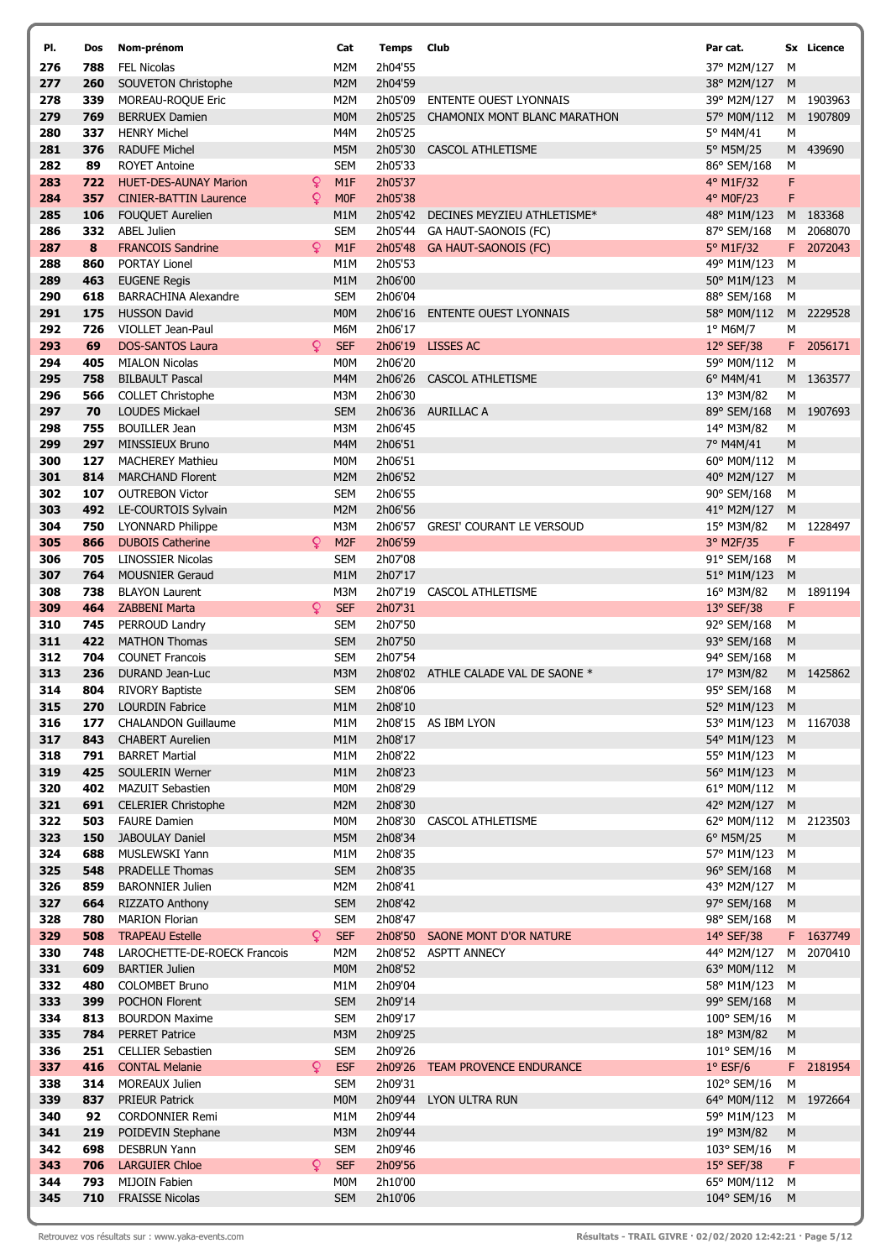| PI.        | Dos        | Nom-prénom                                         |   | Cat               | <b>Temps</b> Club  |                                  | Par cat.                               |        | Sx Licence |
|------------|------------|----------------------------------------------------|---|-------------------|--------------------|----------------------------------|----------------------------------------|--------|------------|
| 276        | 788        | <b>FEL Nicolas</b>                                 |   | M <sub>2</sub> M  | 2h04'55            |                                  | 37° M2M/127                            | м      |            |
| 277        | 260        | SOUVETON Christophe                                |   | M2M               | 2h04'59            |                                  | 38° M2M/127                            | M      |            |
| 278        | 339        | MOREAU-ROQUE Eric                                  |   | M2M               | 2h05'09            | <b>ENTENTE OUEST LYONNAIS</b>    | 39° M2M/127                            |        | M 1903963  |
| 279        | 769        | <b>BERRUEX Damien</b>                              |   | <b>MOM</b>        | 2h05'25            | CHAMONIX MONT BLANC MARATHON     | 57° M0M/112                            |        | M 1907809  |
| 280<br>281 | 337<br>376 | <b>HENRY Michel</b><br><b>RADUFE Michel</b>        |   | M4M<br>M5M        | 2h05'25<br>2h05'30 | <b>CASCOL ATHLETISME</b>         | 5° M4M/41<br>5° M5M/25                 | М      | M 439690   |
| 282        | 89         | <b>ROYET Antoine</b>                               |   | <b>SEM</b>        | 2h05'33            |                                  | 86° SEM/168                            | М      |            |
| 283        | 722        | <b>HUET-DES-AUNAY Marion</b>                       | ¥ | M1F               | 2h05'37            |                                  | 4° M1F/32                              | F      |            |
| 284        | 357        | <b>CINIER-BATTIN Laurence</b>                      | ¥ | <b>MOF</b>        | 2h05'38            |                                  | 4° M0F/23                              | F      |            |
| 285        | 106        | <b>FOUQUET Aurelien</b>                            |   | M1M               | 2h05'42            | DECINES MEYZIEU ATHLETISME*      | 48° M1M/123                            |        | M 183368   |
| 286        | 332        | <b>ABEL Julien</b>                                 |   | <b>SEM</b>        | 2h05'44            | GA HAUT-SAONOIS (FC)             | 87° SEM/168                            |        | M 2068070  |
| 287        | 8          | <b>FRANCOIS Sandrine</b>                           | Q | M1F               | 2h05'48            | <b>GA HAUT-SAONOIS (FC)</b>      | 5° M1F/32                              |        | F 2072043  |
| 288        | 860        | PORTAY Lionel                                      |   | M1M               | 2h05'53            |                                  | 49° M1M/123                            | M      |            |
| 289<br>290 | 463<br>618 | <b>EUGENE Regis</b><br><b>BARRACHINA Alexandre</b> |   | M1M<br><b>SEM</b> | 2h06'00<br>2h06'04 |                                  | 50° M1M/123<br>88° SEM/168             | M<br>M |            |
| 291        | 175        | <b>HUSSON David</b>                                |   | <b>MOM</b>        | 2h06'16            | <b>ENTENTE OUEST LYONNAIS</b>    | 58° M0M/112                            |        | M 2229528  |
| 292        | 726        | VIOLLET Jean-Paul                                  |   | M6M               | 2h06'17            |                                  | 1° M6M/7                               | M      |            |
| 293        | 69         | <b>DOS-SANTOS Laura</b>                            | Q | <b>SEF</b>        | 2h06'19            | <b>LISSES AC</b>                 | 12° SEF/38                             |        | F 2056171  |
| 294        | 405        | <b>MIALON Nicolas</b>                              |   | M0M               | 2h06'20            |                                  | 59° M0M/112                            | M      |            |
| 295        | 758        | <b>BILBAULT Pascal</b>                             |   | M4M               | 2h06'26            | <b>CASCOL ATHLETISME</b>         | $6^{\circ}$ M4M/41                     |        | M 1363577  |
| 296        | 566        | <b>COLLET Christophe</b>                           |   | M3M               | 2h06'30            |                                  | 13° M3M/82                             | М      |            |
| 297        | 70         | <b>LOUDES Mickael</b>                              |   | <b>SEM</b>        | 2h06'36            | <b>AURILLAC A</b>                | 89° SEM/168                            |        | M 1907693  |
| 298<br>299 | 755        | <b>BOUILLER Jean</b>                               |   | M3M               | 2h06'45<br>2h06'51 |                                  | 14° M3M/82                             | М<br>M |            |
| 300        | 297<br>127 | MINSSIEUX Bruno<br><b>MACHEREY Mathieu</b>         |   | M4M<br><b>MOM</b> | 2h06'51            |                                  | 7° M4M/41<br>60° M0M/112               | M      |            |
| 301        | 814        | <b>MARCHAND Florent</b>                            |   | M2M               | 2h06'52            |                                  | 40° M2M/127                            | M      |            |
| 302        | 107        | <b>OUTREBON Victor</b>                             |   | <b>SEM</b>        | 2h06'55            |                                  | 90° SEM/168                            | M      |            |
| 303        | 492        | LE-COURTOIS Sylvain                                |   | M <sub>2</sub> M  | 2h06'56            |                                  | 41° M2M/127                            | M      |            |
| 304        | 750        | <b>LYONNARD Philippe</b>                           |   | M3M               | 2h06'57            | <b>GRESI' COURANT LE VERSOUD</b> | 15° M3M/82                             |        | M 1228497  |
| 305        | 866        | <b>DUBOIS Catherine</b>                            | Q | M <sub>2F</sub>   | 2h06'59            |                                  | 3° M2F/35                              | F      |            |
| 306        | 705        | <b>LINOSSIER Nicolas</b>                           |   | <b>SEM</b>        | 2h07'08            |                                  | 91° SEM/168                            | M      |            |
| 307        | 764        | <b>MOUSNIER Geraud</b>                             |   | M1M               | 2h07'17            |                                  | 51° M1M/123                            | M      |            |
| 308<br>309 | 738<br>464 | <b>BLAYON Laurent</b><br>ZABBENI Marta             | Q | M3M<br><b>SEF</b> | 2h07'19<br>2h07'31 | CASCOL ATHLETISME                | 16° M3M/82<br>13° SEF/38               | F      | M 1891194  |
| 310        | 745        | PERROUD Landry                                     |   | <b>SEM</b>        | 2h07'50            |                                  | 92° SEM/168                            | M      |            |
| 311        | 422        | <b>MATHON Thomas</b>                               |   | <b>SEM</b>        | 2h07'50            |                                  | 93° SEM/168                            | M      |            |
| 312        | 704        | <b>COUNET Francois</b>                             |   | <b>SEM</b>        | 2h07'54            |                                  | 94° SEM/168                            | M      |            |
| 313        | 236        | DURAND Jean-Luc                                    |   | M3M               | 2h08'02            | ATHLE CALADE VAL DE SAONE *      | 17° M3M/82                             |        | M 1425862  |
| 314        | 804        | <b>RIVORY Baptiste</b>                             |   | <b>SEM</b>        | 2h08'06            |                                  | 95° SEM/168                            | М      |            |
| 315        |            | <b>270</b> LOURDIN Fabrice                         |   | M1M               | 2h08'10            |                                  | 52° M1M/123                            | M      |            |
| 316<br>317 | 843        | 177 CHALANDON Guillaume<br><b>CHABERT Aurelien</b> |   | M1M<br>M1M        | 2h08'17            | 2h08'15 AS IBM LYON              | 53° M1M/123 M 1167038<br>54° M1M/123 M |        |            |
| 318        | 791        | <b>BARRET Martial</b>                              |   | M1M               | 2h08'22            |                                  | 55° M1M/123 M                          |        |            |
| 319        | 425        | SOULERIN Werner                                    |   | M <sub>1</sub> M  | 2h08'23            |                                  | 56° M1M/123 M                          |        |            |
| 320        | 402        | <b>MAZUIT Sebastien</b>                            |   | M0M               | 2h08'29            |                                  | 61° M0M/112 M                          |        |            |
| 321        | 691        | <b>CELERIER Christophe</b>                         |   | M2M               | 2h08'30            |                                  | 42° M2M/127 M                          |        |            |
| 322        | 503        | <b>FAURE Damien</b>                                |   | M0M               | 2h08'30            | <b>CASCOL ATHLETISME</b>         | 62° M0M/112                            |        | M 2123503  |
| 323        | 150        | <b>JABOULAY Daniel</b>                             |   | M5M               | 2h08'34            |                                  | 6° M5M/25                              | M      |            |
| 324        | 688        | <b>MUSLEWSKI Yann</b>                              |   | M1M               | 2h08'35            |                                  | 57° M1M/123                            | M      |            |
| 325<br>326 | 548<br>859 | PRADELLE Thomas<br><b>BARONNIER Julien</b>         |   | <b>SEM</b><br>M2M | 2h08'35<br>2h08'41 |                                  | 96° SEM/168<br>43° M2M/127             | M      |            |
| 327        | 664        | <b>RIZZATO Anthony</b>                             |   | <b>SEM</b>        | 2h08'42            |                                  | 97° SEM/168                            | M<br>M |            |
| 328        | 780        | <b>MARION Florian</b>                              |   | <b>SEM</b>        | 2h08'47            |                                  | 98° SEM/168                            | м      |            |
| 329        | 508        | <b>TRAPEAU Estelle</b>                             | δ | <b>SEF</b>        |                    | 2h08'50 SAONE MONT D'OR NATURE   | 14° SEF/38                             |        | F 1637749  |
| 330        | 748        | LAROCHETTE-DE-ROECK Francois                       |   | M2M               |                    | 2h08'52 ASPTT ANNECY             | 44° M2M/127                            |        | M 2070410  |
| 331        | 609        | <b>BARTIER Julien</b>                              |   | M <sub>0</sub> M  | 2h08'52            |                                  | 63° M0M/112                            | M      |            |
| 332        | 480        | <b>COLOMBET Bruno</b>                              |   | M1M               | 2h09'04            |                                  | 58° M1M/123                            | м      |            |
| 333        | 399        | <b>POCHON Florent</b>                              |   | <b>SEM</b>        | 2h09'14            |                                  | 99° SEM/168                            | M      |            |
| 334<br>335 | 813<br>784 | <b>BOURDON Maxime</b><br><b>PERRET Patrice</b>     |   | SEM<br>M3M        | 2h09'17<br>2h09'25 |                                  | 100° SEM/16<br>18° M3M/82              | м<br>M |            |
| 336        | 251        | <b>CELLIER Sebastien</b>                           |   | <b>SEM</b>        | 2h09'26            |                                  | 101° SEM/16                            | м      |            |
| 337        | 416        | <b>CONTAL Melanie</b>                              | Q | <b>ESF</b>        | 2h09'26            | <b>TEAM PROVENCE ENDURANCE</b>   | $1°$ ESF/6                             |        | F 2181954  |
| 338        | 314        | MOREAUX Julien                                     |   | <b>SEM</b>        | 2h09'31            |                                  | 102° SEM/16                            | М      |            |
| 339        | 837        | <b>PRIEUR Patrick</b>                              |   | <b>MOM</b>        | 2h09'44            | LYON ULTRA RUN                   | 64° M0M/112                            |        | M 1972664  |
| 340        | 92         | <b>CORDONNIER Remi</b>                             |   | M1M               | 2h09'44            |                                  | 59° M1M/123                            | M      |            |
| 341        | 219        | POIDEVIN Stephane                                  |   | M3M               | 2h09'44            |                                  | 19° M3M/82                             | M      |            |
| 342        | 698        | <b>DESBRUN Yann</b>                                |   | <b>SEM</b>        | 2h09'46            |                                  | 103° SEM/16                            | м      |            |
| 343        | 706        | <b>LARGUIER Chloe</b>                              | Q | <b>SEF</b>        | 2h09'56            |                                  | 15° SEF/38                             | F      |            |
| 344<br>345 | 793<br>710 | MIJOIN Fabien<br><b>FRAISSE Nicolas</b>            |   | M0M<br><b>SEM</b> | 2h10'00<br>2h10'06 |                                  | 65° M0M/112<br>104° SEM/16             | м<br>M |            |
|            |            |                                                    |   |                   |                    |                                  |                                        |        |            |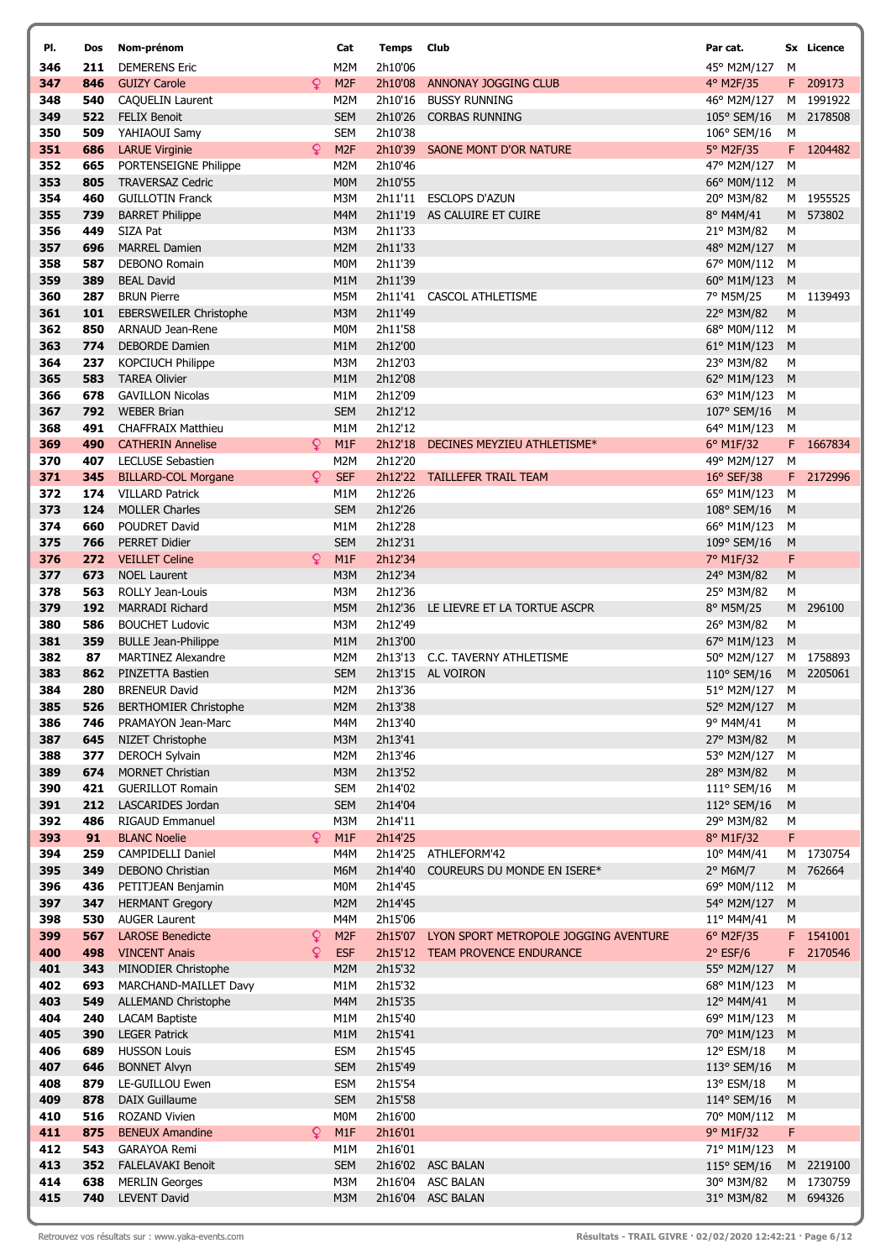| PI.        | Dos        | Nom-prénom                                        |   | Cat                                 | Temps              | Club                                          | Par cat.                   |                | Sx Licence |
|------------|------------|---------------------------------------------------|---|-------------------------------------|--------------------|-----------------------------------------------|----------------------------|----------------|------------|
| 346        | 211        | <b>DEMERENS Eric</b>                              |   | M <sub>2</sub> M                    | 2h10'06            |                                               | 45° M2M/127                | M              |            |
| 347        | 846        | <b>GUIZY Carole</b>                               | Q | M <sub>2F</sub>                     | 2h10'08            | ANNONAY JOGGING CLUB                          | 4° M2F/35                  |                | F 209173   |
| 348        | 540        | <b>CAQUELIN Laurent</b>                           |   | M <sub>2</sub> M                    | 2h10'16            | <b>BUSSY RUNNING</b>                          | 46° M2M/127                |                | M 1991922  |
| 349        | 522        | <b>FELIX Benoit</b>                               |   | <b>SEM</b>                          | 2h10'26            | <b>CORBAS RUNNING</b>                         | 105° SEM/16                |                | M 2178508  |
| 350        | 509        | YAHIAOUI Samy                                     |   | <b>SEM</b>                          | 2h10'38            |                                               | 106° SEM/16                | M              |            |
| 351<br>352 | 686<br>665 | <b>LARUE Virginie</b><br>PORTENSEIGNE Philippe    | Q | M <sub>2F</sub><br>M <sub>2</sub> M | 2h10'39<br>2h10'46 | SAONE MONT D'OR NATURE                        | 5° M2F/35<br>47° M2M/127   | M              | F 1204482  |
| 353        | 805        | <b>TRAVERSAZ Cedric</b>                           |   | <b>MOM</b>                          | 2h10'55            |                                               | 66° M0M/112                | M              |            |
| 354        | 460        | <b>GUILLOTIN Franck</b>                           |   | M3M                                 |                    | 2h11'11 ESCLOPS D'AZUN                        | 20° M3M/82                 |                | M 1955525  |
| 355        | 739        | <b>BARRET Philippe</b>                            |   | M4M                                 | 2h11'19            | AS CALUIRE ET CUIRE                           | 8° M4M/41                  |                | M 573802   |
| 356        | 449        | SIZA Pat                                          |   | M3M                                 | 2h11'33            |                                               | 21° M3M/82                 | М              |            |
| 357        | 696        | <b>MARREL Damien</b>                              |   | M <sub>2</sub> M                    | 2h11'33            |                                               | 48° M2M/127                | M              |            |
| 358        | 587        | <b>DEBONO Romain</b>                              |   | M0M                                 | 2h11'39            |                                               | 67° M0M/112                | M              |            |
| 359        | 389        | <b>BEAL David</b>                                 |   | M <sub>1</sub> M                    | 2h11'39            |                                               | 60° M1M/123                | M              |            |
| 360        | 287        | <b>BRUN Pierre</b>                                |   | M5M                                 | 2h11'41            | CASCOL ATHLETISME                             | 7° M5M/25                  |                | M 1139493  |
| 361        | 101        | <b>EBERSWEILER Christophe</b>                     |   | M3M                                 | 2h11'49            |                                               | 22° M3M/82                 | M              |            |
| 362        | 850        | ARNAUD Jean-Rene                                  |   | M <sub>0</sub> M                    | 2h11'58            |                                               | 68° M0M/112                | M              |            |
| 363<br>364 | 774<br>237 | <b>DEBORDE Damien</b><br><b>KOPCIUCH Philippe</b> |   | M <sub>1</sub> M<br>M3M             | 2h12'00<br>2h12'03 |                                               | 61° M1M/123<br>23° M3M/82  | M              |            |
| 365        | 583        | <b>TAREA Olivier</b>                              |   | M <sub>1</sub> M                    | 2h12'08            |                                               | 62° M1M/123                | М<br>M         |            |
| 366        | 678        | <b>GAVILLON Nicolas</b>                           |   | M1M                                 | 2h12'09            |                                               | 63° M1M/123                | M              |            |
| 367        | 792        | <b>WEBER Brian</b>                                |   | <b>SEM</b>                          | 2h12'12            |                                               | 107° SEM/16                | M              |            |
| 368        | 491        | <b>CHAFFRAIX Matthieu</b>                         |   | M <sub>1</sub> M                    | 2h12'12            |                                               | 64° M1M/123                | М              |            |
| 369        | 490        | <b>CATHERIN Annelise</b>                          | Q | M1F                                 | 2h12'18            | DECINES MEYZIEU ATHLETISME*                   | 6° M1F/32                  |                | F 1667834  |
| 370        | 407        | <b>LECLUSE Sebastien</b>                          |   | M <sub>2</sub> M                    | 2h12'20            |                                               | 49° M2M/127                | M              |            |
| 371        | 345        | <b>BILLARD-COL Morgane</b>                        | Q | <b>SEF</b>                          |                    | 2h12'22 TAILLEFER TRAIL TEAM                  | $16^{\circ}$ SEF/38        |                | F 2172996  |
| 372        | 174        | <b>VILLARD Patrick</b>                            |   | M <sub>1</sub> M                    | 2h12'26            |                                               | 65° M1M/123                | М              |            |
| 373        | 124        | <b>MOLLER Charles</b>                             |   | <b>SEM</b>                          | 2h12'26            |                                               | 108° SEM/16                | M              |            |
| 374        | 660        | POUDRET David                                     |   | M <sub>1</sub> M                    | 2h12'28            |                                               | 66° M1M/123                | М              |            |
| 375<br>376 | 766        | <b>PERRET Didier</b>                              | Q | <b>SEM</b>                          | 2h12'31<br>2h12'34 |                                               | 109° SEM/16                | M              |            |
| 377        | 272<br>673 | <b>VEILLET Celine</b><br><b>NOEL Laurent</b>      |   | M1F<br>M3M                          | 2h12'34            |                                               | 7° M1F/32<br>24° M3M/82    | F<br>${\sf M}$ |            |
| 378        | 563        | <b>ROLLY Jean-Louis</b>                           |   | M3M                                 | 2h12'36            |                                               | 25° M3M/82                 | М              |            |
| 379        | 192        | <b>MARRADI Richard</b>                            |   | M5M                                 | 2h12'36            | LE LIEVRE ET LA TORTUE ASCPR                  | 8° M5M/25                  |                | M 296100   |
| 380        | 586        | <b>BOUCHET Ludovic</b>                            |   | M3M                                 | 2h12'49            |                                               | 26° M3M/82                 | М              |            |
| 381        | 359        | <b>BULLE Jean-Philippe</b>                        |   | M <sub>1</sub> M                    | 2h13'00            |                                               | 67° M1M/123                | M              |            |
| 382        | 87         | <b>MARTINEZ Alexandre</b>                         |   | M2M                                 |                    | 2h13'13 C.C. TAVERNY ATHLETISME               | 50° M2M/127                |                | M 1758893  |
| 383        | 862        | PINZETTA Bastien                                  |   | <b>SEM</b>                          |                    | 2h13'15 AL VOIRON                             | 110° SEM/16                |                | M 2205061  |
| 384        | 280        | <b>BRENEUR David</b>                              |   | M2M                                 | 2h13'36            |                                               | 51° M2M/127                | М              |            |
| 385        | 526        | <b>BERTHOMIER Christophe</b>                      |   | M2M                                 | 2h13'38            |                                               | 52° M2M/127 M              |                |            |
| 386        | 746        | PRAMAYON Jean-Marc                                |   | M4M                                 | 2h13'40            |                                               | 9° M4M/41                  | М              |            |
| 387<br>388 | 645<br>377 | NIZET Christophe<br>DEROCH Sylvain                |   | M3M<br>M2M                          | 2h13'41<br>2h13'46 |                                               | 27° M3M/82<br>53° M2M/127  | M<br>M         |            |
| 389        | 674        | <b>MORNET Christian</b>                           |   | M3M                                 | 2h13'52            |                                               | 28° M3M/82                 | M              |            |
| 390        | 421        | <b>GUERILLOT Romain</b>                           |   | <b>SEM</b>                          | 2h14'02            |                                               | 111° SEM/16                | M              |            |
| 391        | 212        | LASCARIDES Jordan                                 |   | <b>SEM</b>                          | 2h14'04            |                                               | 112° SEM/16                | M              |            |
| 392        | 486        | <b>RIGAUD Emmanuel</b>                            |   | M3M                                 | 2h14'11            |                                               | 29° M3M/82                 | М              |            |
| 393        | 91         | <b>BLANC Noelie</b>                               | Q | M1F                                 | 2h14'25            |                                               | 8° M1F/32                  | F              |            |
| 394        | 259        | CAMPIDELLI Daniel                                 |   | M4M                                 |                    | 2h14'25 ATHLEFORM'42                          | 10° M4M/41                 |                | M 1730754  |
| 395        | 349        | DEBONO Christian                                  |   | M6M                                 | 2h14'40            | COUREURS DU MONDE EN ISERE*                   | 2° M6M/7                   |                | M 762664   |
| 396        | 436        | PETITJEAN Benjamin                                |   | M0M                                 | 2h14'45            |                                               | 69° M0M/112                | M              |            |
| 397<br>398 | 347<br>530 | <b>HERMANT Gregory</b><br><b>AUGER Laurent</b>    |   | M <sub>2</sub> M<br>M4M             | 2h14'45<br>2h15'06 |                                               | 54° M2M/127<br>11° M4M/41  | M              |            |
| 399        | 567        | <b>LAROSE Benedicte</b>                           | ¥ | M <sub>2F</sub>                     |                    | 2h15'07 LYON SPORT METROPOLE JOGGING AVENTURE | 6° M2F/35                  | М              | F 1541001  |
| 400        | 498        | <b>VINCENT Anais</b>                              | Q | <b>ESF</b>                          |                    | 2h15'12 TEAM PROVENCE ENDURANCE               | $2°$ ESF/6                 |                | F 2170546  |
| 401        | 343        | MINODIER Christophe                               |   | M2M                                 | 2h15'32            |                                               | 55° M2M/127                | M              |            |
| 402        | 693        | MARCHAND-MAILLET Davy                             |   | M1M                                 | 2h15'32            |                                               | 68° M1M/123                | М              |            |
| 403        | 549        | <b>ALLEMAND Christophe</b>                        |   | M4M                                 | 2h15'35            |                                               | 12° M4M/41                 | M              |            |
| 404        | 240        | <b>LACAM Baptiste</b>                             |   | M1M                                 | 2h15'40            |                                               | 69° M1M/123                | м              |            |
| 405        | 390        | <b>LEGER Patrick</b>                              |   | M <sub>1</sub> M                    | 2h15'41            |                                               | 70° M1M/123                | M              |            |
| 406        | 689        | <b>HUSSON Louis</b>                               |   | <b>ESM</b>                          | 2h15'45            |                                               | 12° ESM/18                 | М              |            |
| 407        | 646        | <b>BONNET Alvyn</b>                               |   | <b>SEM</b>                          | 2h15'49            |                                               | 113° SEM/16                | M              |            |
| 408        | 879        | LE-GUILLOU Ewen                                   |   | <b>ESM</b>                          | 2h15'54            |                                               | 13° ESM/18                 | M              |            |
| 409<br>410 | 878<br>516 | <b>DAIX Guillaume</b><br><b>ROZAND Vivien</b>     |   | <b>SEM</b><br><b>MOM</b>            | 2h15'58<br>2h16'00 |                                               | 114° SEM/16<br>70° M0M/112 | M<br>M         |            |
| 411        | 875        | <b>BENEUX Amandine</b>                            | Q | M1F                                 | 2h16'01            |                                               | 9° M1F/32                  | F              |            |
| 412        | 543        | GARAYOA Remi                                      |   | M1M                                 | 2h16'01            |                                               | 71° M1M/123                | M              |            |
| 413        | 352        | <b>FALELAVAKI Benoit</b>                          |   | <b>SEM</b>                          |                    | 2h16'02 ASC BALAN                             | 115° SEM/16                |                | M 2219100  |
| 414        | 638        | <b>MERLIN Georges</b>                             |   | M3M                                 |                    | 2h16'04 ASC BALAN                             | 30° M3M/82                 |                | M 1730759  |
| 415        | 740        | <b>LEVENT David</b>                               |   | M3M                                 |                    | 2h16'04 ASC BALAN                             | 31° M3M/82                 |                | M 694326   |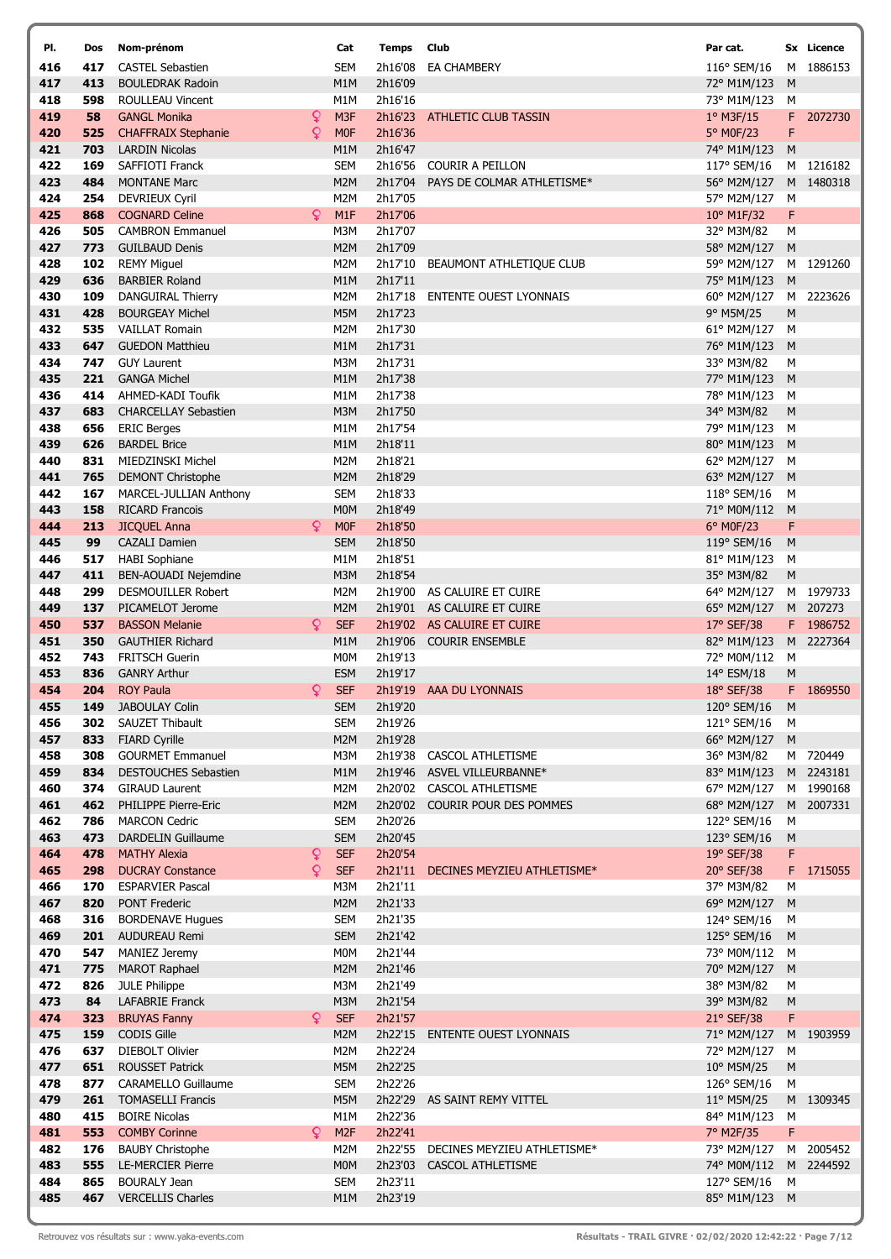| PI.        | Dos        | Nom-prénom                                          |    | Cat                            | <b>Temps</b> Club  |                               | Par cat.                   |                | Sx Licence |
|------------|------------|-----------------------------------------------------|----|--------------------------------|--------------------|-------------------------------|----------------------------|----------------|------------|
| 416        | 417        | <b>CASTEL Sebastien</b>                             |    | <b>SEM</b>                     | 2h16'08            | <b>EA CHAMBERY</b>            | 116° SEM/16                |                | M 1886153  |
| 417        | 413        | <b>BOULEDRAK Radoin</b>                             |    | M1M                            | 2h16'09            |                               | 72° M1M/123                | M              |            |
| 418        | 598        | ROULLEAU Vincent                                    |    | M <sub>1</sub> M               | 2h16'16            |                               | 73° M1M/123                | M              |            |
| 419        | 58         | <b>GANGL Monika</b>                                 | ç  | M <sub>3F</sub>                | 2h16'23            | <b>ATHLETIC CLUB TASSIN</b>   | 1° M3F/15                  | F              | 2072730    |
| 420        | 525        | <b>CHAFFRAIX Stephanie</b>                          | Q  | <b>MOF</b>                     | 2h16'36            |                               | 5° M0F/23                  | F              |            |
| 421<br>422 | 703<br>169 | <b>LARDIN Nicolas</b><br>SAFFIOTI Franck            |    | M <sub>1</sub> M<br><b>SEM</b> | 2h16'47<br>2h16'56 | <b>COURIR A PEILLON</b>       | 74° M1M/123<br>117° SEM/16 | M              | M 1216182  |
| 423        | 484        | <b>MONTANE Marc</b>                                 |    | M <sub>2</sub> M               | 2h17'04            | PAYS DE COLMAR ATHLETISME*    | 56° M2M/127                |                | M 1480318  |
| 424        | 254        | <b>DEVRIEUX Cyril</b>                               |    | M <sub>2</sub> M               | 2h17'05            |                               | 57° M2M/127                | М              |            |
| 425        | 868        | <b>COGNARD Celine</b>                               | Q  | M <sub>1</sub> F               | 2h17'06            |                               | 10° M1F/32                 | F              |            |
| 426        | 505        | <b>CAMBRON Emmanuel</b>                             |    | M3M                            | 2h17'07            |                               | 32° M3M/82                 | М              |            |
| 427        | 773        | <b>GUILBAUD Denis</b>                               |    | M <sub>2</sub> M               | 2h17'09            |                               | 58° M2M/127                | M              |            |
| 428        | 102        | <b>REMY Miguel</b>                                  |    | M <sub>2</sub> M               | 2h17'10            | BEAUMONT ATHLETIQUE CLUB      | 59° M2M/127                |                | M 1291260  |
| 429        | 636        | <b>BARBIER Roland</b>                               |    | M1M                            | 2h17'11            |                               | 75° M1M/123                | M              |            |
| 430        | 109        | <b>DANGUIRAL Thierry</b>                            |    | M2M                            | 2h17'18            | ENTENTE OUEST LYONNAIS        | 60° M2M/127                |                | M 2223626  |
| 431        | 428        | <b>BOURGEAY Michel</b>                              |    | M5M                            | 2h17'23            |                               | 9° M5M/25                  | M              |            |
| 432        | 535        | <b>VAILLAT Romain</b>                               |    | M2M                            | 2h17'30            |                               | 61° M2M/127                | M              |            |
| 433        | 647        | <b>GUEDON Matthieu</b>                              |    | M1M                            | 2h17'31            |                               | 76° M1M/123                | M              |            |
| 434<br>435 | 747<br>221 | <b>GUY Laurent</b><br><b>GANGA Michel</b>           |    | M3M<br>M <sub>1</sub> M        | 2h17'31<br>2h17'38 |                               | 33° M3M/82<br>77° M1M/123  | М<br>M         |            |
| 436        | 414        | AHMED-KADI Toufik                                   |    | M <sub>1</sub> M               | 2h17'38            |                               | 78° M1M/123                | M              |            |
| 437        | 683        | <b>CHARCELLAY Sebastien</b>                         |    | M3M                            | 2h17'50            |                               | 34° M3M/82                 | M              |            |
| 438        | 656        | <b>ERIC Berges</b>                                  |    | M <sub>1</sub> M               | 2h17'54            |                               | 79° M1M/123                | M              |            |
| 439        | 626        | <b>BARDEL Brice</b>                                 |    | M <sub>1</sub> M               | 2h18'11            |                               | 80° M1M/123                | M              |            |
| 440        | 831        | MIEDZINSKI Michel                                   |    | M <sub>2</sub> M               | 2h18'21            |                               | 62° M2M/127                | м              |            |
| 441        | 765        | <b>DEMONT Christophe</b>                            |    | M <sub>2</sub> M               | 2h18'29            |                               | 63° M2M/127                | M              |            |
| 442        | 167        | <b>MARCEL-JULLIAN Anthony</b>                       |    | <b>SEM</b>                     | 2h18'33            |                               | 118° SEM/16                | M              |            |
| 443        | 158        | <b>RICARD Francois</b>                              |    | <b>MOM</b>                     | 2h18'49            |                               | 71° M0M/112                | M              |            |
| 444        | 213        | <b>JICQUEL Anna</b>                                 | Q  | M <sub>OF</sub>                | 2h18'50            |                               | 6° M0F/23                  | F              |            |
| 445        | 99         | <b>CAZALI Damien</b>                                |    | <b>SEM</b>                     | 2h18'50            |                               | 119° SEM/16                | M              |            |
| 446<br>447 | 517<br>411 | <b>HABI</b> Sophiane<br><b>BEN-AOUADI Nejemdine</b> |    | M1M<br>M3M                     | 2h18'51<br>2h18'54 |                               | 81° M1M/123<br>35° M3M/82  | M<br>${\sf M}$ |            |
| 448        | 299        | <b>DESMOUILLER Robert</b>                           |    | M <sub>2</sub> M               | 2h19'00            | AS CALUIRE ET CUIRE           | 64° M2M/127                |                | M 1979733  |
| 449        | 137        | PICAMELOT Jerome                                    |    | M <sub>2</sub> M               | 2h19'01            | AS CALUIRE ET CUIRE           | 65° M2M/127                |                | M 207273   |
| 450        | 537        | <b>BASSON Melanie</b>                               | Q. | <b>SEF</b>                     |                    | 2h19'02 AS CALUIRE ET CUIRE   | 17° SEF/38                 |                | F 1986752  |
| 451        | 350        | <b>GAUTHIER Richard</b>                             |    | M <sub>1</sub> M               | 2h19'06            | <b>COURIR ENSEMBLE</b>        | 82° M1M/123                |                | M 2227364  |
| 452        | 743        | <b>FRITSCH Guerin</b>                               |    | M <sub>0</sub> M               | 2h19'13            |                               | 72° M0M/112                | M              |            |
| 453        | 836        | <b>GANRY Arthur</b>                                 |    | <b>ESM</b>                     | 2h19'17            |                               | 14° ESM/18                 | ${\sf M}$      |            |
| 454        | 204        | <b>ROY Paula</b>                                    | Q  | <b>SEF</b>                     | 2h19'19            | AAA DU LYONNAIS               | 18° SEF/38                 | F.             | 1869550    |
| 455        | 149        | <b>JABOULAY Colin</b>                               |    | <b>SEM</b>                     | 2h19'20            |                               | 120° SEM/16                | M              |            |
| 456        | 302        | SAUZET Thibault                                     |    | <b>SEM</b>                     | 2h19'26            |                               | 121° SEM/16                | M              |            |
| 457<br>458 | 833<br>308 | <b>FIARD Cyrille</b><br><b>GOURMET Emmanuel</b>     |    | M <sub>2</sub> M<br>M3M        | 2h19'28<br>2h19'38 | <b>CASCOL ATHLETISME</b>      | 66° M2M/127<br>36° M3M/82  | M              | M 720449   |
| 459        | 834        | <b>DESTOUCHES Sebastien</b>                         |    | M1M                            | 2h19'46            | ASVEL VILLEURBANNE*           | 83° M1M/123                |                | M 2243181  |
| 460        | 374        | <b>GIRAUD Laurent</b>                               |    | M2M                            |                    | 2h20'02 CASCOL ATHLETISME     | 67° M2M/127                |                | M 1990168  |
| 461        | 462        | PHILIPPE Pierre-Eric                                |    | M <sub>2</sub> M               | 2h20'02            | COURIR POUR DES POMMES        | 68° M2M/127                |                | M 2007331  |
| 462        | 786        | <b>MARCON Cedric</b>                                |    | <b>SEM</b>                     | 2h20'26            |                               | 122° SEM/16                | M              |            |
| 463        | 473        | <b>DARDELIN Guillaume</b>                           |    | <b>SEM</b>                     | 2h20'45            |                               | 123° SEM/16                | ${\sf M}$      |            |
| 464        | 478        | <b>MATHY Alexia</b>                                 | ¥  | <b>SEF</b>                     | 2h20'54            |                               | 19° SEF/38                 | F              |            |
| 465        | 298        | <b>DUCRAY Constance</b>                             | Q  | <b>SEF</b>                     | 2h21'11            | DECINES MEYZIEU ATHLETISME*   | 20° SEF/38                 |                | F 1715055  |
| 466        | 170        | <b>ESPARVIER Pascal</b>                             |    | M3M                            | 2h21'11            |                               | 37° M3M/82                 | М              |            |
| 467        | 820        | <b>PONT Frederic</b>                                |    | M <sub>2</sub> M               | 2h21'33            |                               | 69° M2M/127                | M              |            |
| 468<br>469 | 316<br>201 | <b>BORDENAVE Hugues</b><br><b>AUDUREAU Remi</b>     |    | <b>SEM</b><br><b>SEM</b>       | 2h21'35<br>2h21'42 |                               | 124° SEM/16<br>125° SEM/16 | M<br>M         |            |
| 470        | 547        | <b>MANIEZ Jeremy</b>                                |    | M <sub>0</sub> M               | 2h21'44            |                               | 73° M0M/112                | M              |            |
| 471        | 775        | <b>MAROT Raphael</b>                                |    | M2M                            | 2h21'46            |                               | 70° M2M/127                | M              |            |
| 472        | 826        | <b>JULE Philippe</b>                                |    | M3M                            | 2h21'49            |                               | 38° M3M/82                 | М              |            |
| 473        | 84         | <b>LAFABRIE Franck</b>                              |    | M3M                            | 2h21'54            |                               | 39° M3M/82                 | M              |            |
| 474        | 323        | <b>BRUYAS Fanny</b>                                 | Q. | <b>SEF</b>                     | 2h21'57            |                               | 21° SEF/38                 | F              |            |
| 475        | 159        | CODIS Gille                                         |    | M <sub>2</sub> M               | 2h22'15            | <b>ENTENTE OUEST LYONNAIS</b> | 71° M2M/127                |                | M 1903959  |
| 476        | 637        | DIEBOLT Olivier                                     |    | M2M                            | 2h22'24            |                               | 72° M2M/127                | M              |            |
| 477        | 651        | <b>ROUSSET Patrick</b>                              |    | M5M                            | 2h22'25            |                               | 10° M5M/25                 | M              |            |
| 478        | 877        | <b>CARAMELLO Guillaume</b>                          |    | <b>SEM</b>                     | 2h22'26            |                               | 126° SEM/16                | М              |            |
| 479<br>480 | 261<br>415 | <b>TOMASELLI Francis</b><br><b>BOIRE Nicolas</b>    |    | M5M<br>M <sub>1</sub> M        | 2h22'36            | 2h22'29 AS SAINT REMY VITTEL  | 11° M5M/25<br>84° M1M/123  | M              | M 1309345  |
| 481        | 553        | <b>COMBY Corinne</b>                                | Q  | M <sub>2F</sub>                | 2h22'41            |                               | 7° M2F/35                  | F              |            |
| 482        | 176        | <b>BAUBY Christophe</b>                             |    | M2M                            | 2h22'55            | DECINES MEYZIEU ATHLETISME*   | 73° M2M/127                |                | M 2005452  |
| 483        | 555        | <b>LE-MERCIER Pierre</b>                            |    | <b>MOM</b>                     | 2h23'03            | <b>CASCOL ATHLETISME</b>      | 74° M0M/112                |                | M 2244592  |
| 484        | 865        | <b>BOURALY Jean</b>                                 |    | <b>SEM</b>                     | 2h23'11            |                               | 127° SEM/16                | м              |            |
| 485        | 467        | <b>VERCELLIS Charles</b>                            |    | M1M                            | 2h23'19            |                               | 85° M1M/123 M              |                |            |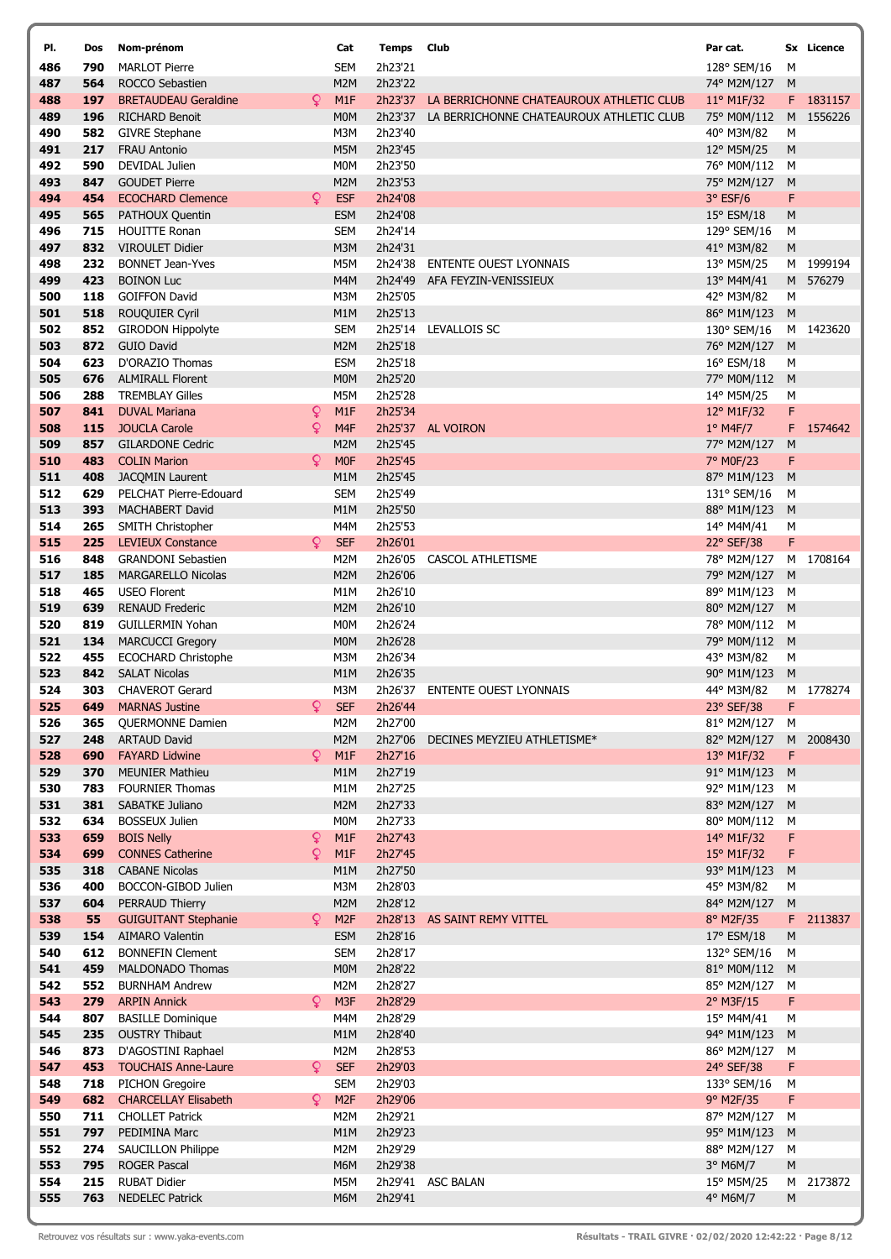| PI.        | Dos        | Nom-prénom                                      |    | Cat                      | <b>Temps</b> Club  |                                          | Par cat.                   |        | Sx Licence |
|------------|------------|-------------------------------------------------|----|--------------------------|--------------------|------------------------------------------|----------------------------|--------|------------|
| 486        | 790        | <b>MARLOT Pierre</b>                            |    | <b>SEM</b>               | 2h23'21            |                                          | 128° SEM/16                | М      |            |
| 487        | 564        | ROCCO Sebastien                                 |    | M2M                      | 2h23'22            |                                          | 74° M2M/127                | M      |            |
| 488        | 197        | <b>BRETAUDEAU Geraldine</b>                     | Q. | M1F                      | 2h23'37            | LA BERRICHONNE CHATEAUROUX ATHLETIC CLUB | 11° M1F/32                 |        | F 1831157  |
| 489        | 196        | <b>RICHARD Benoit</b>                           |    | <b>MOM</b>               | 2h23'37            | LA BERRICHONNE CHATEAUROUX ATHLETIC CLUB | 75° M0M/112                |        | M 1556226  |
| 490        | 582        | <b>GIVRE Stephane</b>                           |    | M3M                      | 2h23'40            |                                          | 40° M3M/82                 | М      |            |
| 491        | 217        | <b>FRAU Antonio</b>                             |    | M5M                      | 2h23'45            |                                          | 12° M5M/25                 | M      |            |
| 492<br>493 | 590<br>847 | DEVIDAL Julien<br><b>GOUDET Pierre</b>          |    | <b>MOM</b><br>M2M        | 2h23'50<br>2h23'53 |                                          | 76° M0M/112<br>75° M2M/127 | М<br>M |            |
| 494        | 454        | <b>ECOCHARD Clemence</b>                        | Q. | <b>ESF</b>               | 2h24'08            |                                          | 3° ESF/6                   | F      |            |
| 495        | 565        | PATHOUX Quentin                                 |    | <b>ESM</b>               | 2h24'08            |                                          | 15° ESM/18                 | M      |            |
| 496        | 715        | <b>HOUITTE Ronan</b>                            |    | <b>SEM</b>               | 2h24'14            |                                          | 129° SEM/16                | М      |            |
| 497        | 832        | <b>VIROULET Didier</b>                          |    | M3M                      | 2h24'31            |                                          | 41° M3M/82                 | M      |            |
| 498        | 232        | <b>BONNET Jean-Yves</b>                         |    | M5M                      | 2h24'38            | ENTENTE OUEST LYONNAIS                   | 13° M5M/25                 |        | M 1999194  |
| 499        | 423        | <b>BOINON Luc</b>                               |    | M4M                      | 2h24'49            | AFA FEYZIN-VENISSIEUX                    | 13° M4M/41                 |        | M 576279   |
| 500        | 118        | <b>GOIFFON David</b>                            |    | M3M                      | 2h25'05            |                                          | 42° M3M/82                 | М      |            |
| 501        | 518        | <b>ROUQUIER Cyril</b>                           |    | M1M                      | 2h25'13            |                                          | 86° M1M/123                | M      |            |
| 502        | 852        | <b>GIRODON Hippolyte</b>                        |    | <b>SEM</b>               | 2h25'14            | LEVALLOIS SC                             | 130° SEM/16                |        | M 1423620  |
| 503        | 872        | <b>GUIO David</b>                               |    | M2M                      | 2h25'18            |                                          | 76° M2M/127                | M      |            |
| 504        | 623        | D'ORAZIO Thomas                                 |    | <b>ESM</b>               | 2h25'18            |                                          | 16° ESM/18                 | М      |            |
| 505        | 676<br>288 | <b>ALMIRALL Florent</b>                         |    | <b>MOM</b><br>M5M        | 2h25'20<br>2h25'28 |                                          | 77° M0M/112                | M      |            |
| 506<br>507 | 841        | <b>TREMBLAY Gilles</b><br><b>DUVAL Mariana</b>  | Q  | M <sub>1F</sub>          | 2h25'34            |                                          | 14° M5M/25<br>12° M1F/32   | М<br>F |            |
| 508        | 115        | <b>JOUCLA Carole</b>                            | Q  | M <sub>4F</sub>          |                    | 2h25'37 AL VOIRON                        | $1°$ M4F/7                 |        | F 1574642  |
| 509        | 857        | <b>GILARDONE Cedric</b>                         |    | M2M                      | 2h25'45            |                                          | 77° M2M/127                | M      |            |
| 510        | 483        | <b>COLIN Marion</b>                             | Q  | <b>MOF</b>               | 2h25'45            |                                          | 7° M0F/23                  | F      |            |
| 511        | 408        | <b>JACOMIN Laurent</b>                          |    | M1M                      | 2h25'45            |                                          | 87° M1M/123                | M      |            |
| 512        | 629        | PELCHAT Pierre-Edouard                          |    | <b>SEM</b>               | 2h25'49            |                                          | 131° SEM/16                | M      |            |
| 513        | 393        | MACHABERT David                                 |    | M1M                      | 2h25'50            |                                          | 88° M1M/123                | M      |            |
| 514        | 265        | SMITH Christopher                               |    | M4M                      | 2h25'53            |                                          | 14° M4M/41                 | М      |            |
| 515        | 225        | <b>LEVIEUX Constance</b>                        | Q  | <b>SEF</b>               | 2h26'01            |                                          | 22° SEF/38                 | F      |            |
| 516        | 848        | <b>GRANDONI Sebastien</b>                       |    | M2M                      | 2h26'05            | <b>CASCOL ATHLETISME</b>                 | 78° M2M/127                |        | M 1708164  |
| 517<br>518 | 185        | <b>MARGARELLO Nicolas</b>                       |    | M2M                      | 2h26'06            |                                          | 79° M2M/127                | M      |            |
| 519        | 465<br>639 | <b>USEO Florent</b><br><b>RENAUD Frederic</b>   |    | M1M<br>M2M               | 2h26'10<br>2h26'10 |                                          | 89° M1M/123<br>80° M2M/127 | М<br>M |            |
| 520        | 819        | <b>GUILLERMIN Yohan</b>                         |    | M0M                      | 2h26'24            |                                          | 78° M0M/112                | м      |            |
| 521        | 134        | <b>MARCUCCI Gregory</b>                         |    | M <sub>0</sub> M         | 2h26'28            |                                          | 79° M0M/112                | M      |            |
| 522        | 455        | <b>ECOCHARD Christophe</b>                      |    | M3M                      | 2h26'34            |                                          | 43° M3M/82                 | М      |            |
| 523        | 842        | <b>SALAT Nicolas</b>                            |    | M <sub>1</sub> M         | 2h26'35            |                                          | 90° M1M/123                | M      |            |
| 524        | 303        | <b>CHAVEROT Gerard</b>                          |    | M3M                      | 2h26'37            | <b>ENTENTE OUEST LYONNAIS</b>            | 44° M3M/82                 |        | M 1778274  |
| 525        | 649        | <b>MARNAS Justine</b>                           | Q. | <b>SEF</b>               | 2h26'44            |                                          | 23° SEF/38                 | F      |            |
| 526        | 365        | QUERMONNE Damien                                |    | M2M                      | 2h27'00            |                                          | 81° M2M/127 M              |        |            |
| 527        | 248        | <b>ARTAUD David</b>                             |    | M2M                      | 2h27'06            | DECINES MEYZIEU ATHLETISME*              | 82° M2M/127                |        | M 2008430  |
| 528<br>529 | 690<br>370 | <b>FAYARD Lidwine</b><br><b>MEUNIER Mathieu</b> | Q. | M1F<br>M <sub>1</sub> M  | 2h27'16<br>2h27'19 |                                          | 13° M1F/32<br>91° M1M/123  | F<br>M |            |
| 530        | 783        | <b>FOURNIER Thomas</b>                          |    | M1M                      | 2h27'25            |                                          | 92° M1M/123                | M      |            |
| 531        | 381        | SABATKE Juliano                                 |    | M2M                      | 2h27'33            |                                          | 83° M2M/127                | M      |            |
| 532        | 634        | <b>BOSSEUX Julien</b>                           |    | M0M                      | 2h27'33            |                                          | 80° M0M/112                | M      |            |
| 533        | 659        | <b>BOIS Nelly</b>                               | Q  | M1F                      | 2h27'43            |                                          | 14° M1F/32                 | F      |            |
| 534        | 699        | <b>CONNES Catherine</b>                         | Q  | M1F                      | 2h27'45            |                                          | 15° M1F/32                 | F      |            |
| 535        | 318        | <b>CABANE Nicolas</b>                           |    | M <sub>1</sub> M         | 2h27'50            |                                          | 93° M1M/123                | M      |            |
| 536        | 400        | BOCCON-GIBOD Julien                             |    | M3M                      | 2h28'03            |                                          | 45° M3M/82                 | М      |            |
| 537        | 604        | PERRAUD Thierry                                 |    | M2M                      | 2h28'12            |                                          | 84° M2M/127                | M      |            |
| 538        | 55         | <b>GUIGUITANT Stephanie</b>                     | Q. | M <sub>2F</sub>          |                    | 2h28'13 AS SAINT REMY VITTEL             | 8° M2F/35                  | F.     | 2113837    |
| 539<br>540 | 154<br>612 | AIMARO Valentin<br><b>BONNEFIN Clement</b>      |    | <b>ESM</b><br><b>SEM</b> | 2h28'16<br>2h28'17 |                                          | 17° ESM/18<br>132° SEM/16  | M<br>M |            |
| 541        | 459        | MALDONADO Thomas                                |    | <b>MOM</b>               | 2h28'22            |                                          | 81° M0M/112                | M      |            |
| 542        | 552        | <b>BURNHAM Andrew</b>                           |    | M2M                      | 2h28'27            |                                          | 85° M2M/127                | M      |            |
| 543        | 279        | <b>ARPIN Annick</b>                             | Q  | M3F                      | 2h28'29            |                                          | 2° M3F/15                  | F      |            |
| 544        | 807        | <b>BASILLE Dominique</b>                        |    | M4M                      | 2h28'29            |                                          | 15° M4M/41                 | М      |            |
| 545        | 235        | <b>OUSTRY Thibaut</b>                           |    | M1M                      | 2h28'40            |                                          | 94° M1M/123                | M      |            |
| 546        | 873        | D'AGOSTINI Raphael                              |    | M2M                      | 2h28'53            |                                          | 86° M2M/127                | M      |            |
| 547        | 453        | <b>TOUCHAIS Anne-Laure</b>                      | Q  | <b>SEF</b>               | 2h29'03            |                                          | 24° SEF/38                 | F      |            |
| 548        | 718        | <b>PICHON Gregoire</b>                          |    | <b>SEM</b>               | 2h29'03            |                                          | 133° SEM/16                | М      |            |
| 549        | 682        | <b>CHARCELLAY Elisabeth</b>                     | Q  | M <sub>2F</sub>          | 2h29'06            |                                          | 9° M2F/35                  | F      |            |
| 550<br>551 | 711<br>797 | <b>CHOLLET Patrick</b><br>PEDIMINA Marc         |    | M2M<br>M1M               | 2h29'21<br>2h29'23 |                                          | 87° M2M/127<br>95° M1M/123 | М<br>M |            |
| 552        | 274        | <b>SAUCILLON Philippe</b>                       |    | M2M                      | 2h29'29            |                                          | 88° M2M/127                | M      |            |
| 553        | 795        | <b>ROGER Pascal</b>                             |    | M6M                      | 2h29'38            |                                          | 3° M6M/7                   | M      |            |
| 554        | 215        | <b>RUBAT Didier</b>                             |    | M5M                      | 2h29'41            | <b>ASC BALAN</b>                         | 15° M5M/25                 | м      | 2173872    |
| 555        | 763        | <b>NEDELEC Patrick</b>                          |    | M6M                      | 2h29'41            |                                          | 4° M6M/7                   | M      |            |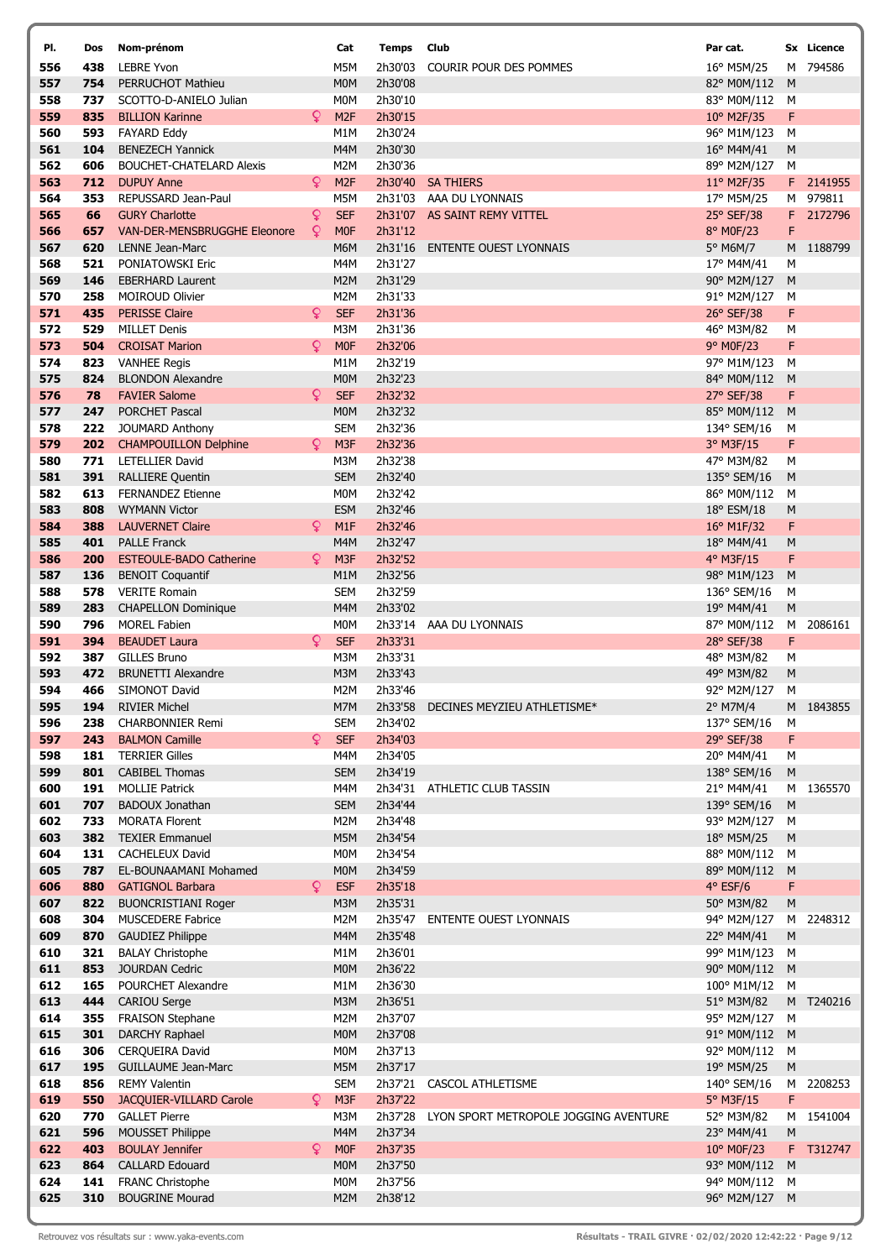| PI.        | Dos        | Nom-prénom                                             |    | Cat                     | Temps              | Club                                  | Par cat.                  |                | Sx Licence |
|------------|------------|--------------------------------------------------------|----|-------------------------|--------------------|---------------------------------------|---------------------------|----------------|------------|
| 556        | 438        | <b>LEBRE Yvon</b>                                      |    | M5M                     | 2h30'03            | COURIR POUR DES POMMES                | 16° M5M/25                |                | M 794586   |
| 557        | 754        | <b>PERRUCHOT Mathieu</b>                               |    | M <sub>0</sub> M        | 2h30'08            |                                       | 82° M0M/112               | M              |            |
| 558        | 737        | SCOTTO-D-ANIELO Julian                                 |    | <b>MOM</b>              | 2h30'10            |                                       | 83° M0M/112               | м              |            |
| 559        | 835        | <b>BILLION Karinne</b>                                 | Q  | M <sub>2F</sub>         | 2h30'15            |                                       | 10° M2F/35                | F              |            |
| 560<br>561 | 593        | <b>FAYARD Eddy</b><br><b>BENEZECH Yannick</b>          |    | M <sub>1</sub> M<br>M4M | 2h30'24            |                                       | 96° M1M/123               | M              |            |
| 562        | 104<br>606 | <b>BOUCHET-CHATELARD Alexis</b>                        |    | M <sub>2</sub> M        | 2h30'30<br>2h30'36 |                                       | 16° M4M/41<br>89° M2M/127 | M<br>M         |            |
| 563        | 712        | <b>DUPUY Anne</b>                                      | Q  | M <sub>2F</sub>         | 2h30'40            | <b>SA THIERS</b>                      | 11° M2F/35                |                | F 2141955  |
| 564        | 353        | REPUSSARD Jean-Paul                                    |    | M5M                     |                    | 2h31'03 AAA DU LYONNAIS               | 17° M5M/25                |                | M 979811   |
| 565        | 66         | <b>GURY Charlotte</b>                                  | Q  | <b>SEF</b>              |                    | 2h31'07 AS SAINT REMY VITTEL          | 25° SEF/38                |                | F 2172796  |
| 566        | 657        | <b>VAN-DER-MENSBRUGGHE Eleonore</b>                    | Q  | <b>MOF</b>              | 2h31'12            |                                       | 8° M0F/23                 | F              |            |
| 567        | 620        | LENNE Jean-Marc                                        |    | M6M                     | 2h31'16            | <b>ENTENTE OUEST LYONNAIS</b>         | 5° M6M/7                  |                | M 1188799  |
| 568        | 521        | PONIATOWSKI Eric                                       |    | M4M                     | 2h31'27            |                                       | 17° M4M/41                | М              |            |
| 569        | 146        | <b>EBERHARD Laurent</b>                                |    | M2M                     | 2h31'29            |                                       | 90° M2M/127               | M              |            |
| 570<br>571 | 258<br>435 | <b>MOIROUD Olivier</b><br><b>PERISSE Claire</b>        | Q  | M2M<br><b>SEF</b>       | 2h31'33<br>2h31'36 |                                       | 91° M2M/127<br>26° SEF/38 | M<br>F         |            |
| 572        | 529        | <b>MILLET Denis</b>                                    |    | M3M                     | 2h31'36            |                                       | 46° M3M/82                | М              |            |
| 573        | 504        | <b>CROISAT Marion</b>                                  | Q  | <b>MOF</b>              | 2h32'06            |                                       | 9° M0F/23                 | F              |            |
| 574        | 823        | <b>VANHEE Regis</b>                                    |    | M1M                     | 2h32'19            |                                       | 97° M1M/123               | M              |            |
| 575        | 824        | <b>BLONDON Alexandre</b>                               |    | <b>MOM</b>              | 2h32'23            |                                       | 84° M0M/112               | M              |            |
| 576        | 78         | <b>FAVIER Salome</b>                                   | Q. | <b>SEF</b>              | 2h32'32            |                                       | 27° SEF/38                | F              |            |
| 577        | 247        | <b>PORCHET Pascal</b>                                  |    | <b>MOM</b>              | 2h32'32            |                                       | 85° M0M/112               | M              |            |
| 578        | 222        | <b>JOUMARD Anthony</b>                                 |    | <b>SEM</b>              | 2h32'36            |                                       | 134° SEM/16               | M              |            |
| 579        | 202        | <b>CHAMPOUILLON Delphine</b>                           | Q  | M <sub>3F</sub>         | 2h32'36            |                                       | 3° M3F/15                 | F              |            |
| 580<br>581 | 771<br>391 | LETELLIER David<br><b>RALLIERE Quentin</b>             |    | M3M<br><b>SEM</b>       | 2h32'38<br>2h32'40 |                                       | 47° M3M/82<br>135° SEM/16 | M<br>${\sf M}$ |            |
| 582        | 613        | <b>FERNANDEZ Etienne</b>                               |    | <b>MOM</b>              | 2h32'42            |                                       | 86° M0M/112               | М              |            |
| 583        | 808        | <b>WYMANN Victor</b>                                   |    | <b>ESM</b>              | 2h32'46            |                                       | 18° ESM/18                | M              |            |
| 584        | 388        | <b>LAUVERNET Claire</b>                                | Q  | M1F                     | 2h32'46            |                                       | 16° M1F/32                | F              |            |
| 585        | 401        | <b>PALLE Franck</b>                                    |    | M4M                     | 2h32'47            |                                       | 18° M4M/41                | M              |            |
| 586        | 200        | <b>ESTEOULE-BADO Catherine</b>                         | Q  | M <sub>3F</sub>         | 2h32'52            |                                       | 4° M3F/15                 | F              |            |
| 587        | 136        | <b>BENOIT Coquantif</b>                                |    | M <sub>1</sub> M        | 2h32'56            |                                       | 98° M1M/123               | M              |            |
| 588        | 578        | <b>VERITE Romain</b>                                   |    | <b>SEM</b>              | 2h32'59            |                                       | 136° SEM/16               | м              |            |
| 589<br>590 | 283<br>796 | <b>CHAPELLON Dominique</b><br><b>MOREL Fabien</b>      |    | M4M<br>M <sub>0</sub> M | 2h33'02            | 2h33'14 AAA DU LYONNAIS               | 19° M4M/41<br>87° M0M/112 | M<br>M         | 2086161    |
| 591        | 394        | <b>BEAUDET Laura</b>                                   | Q  | <b>SEF</b>              | 2h33'31            |                                       | 28° SEF/38                | F              |            |
| 592        | 387        | <b>GILLES Bruno</b>                                    |    | M3M                     | 2h33'31            |                                       | 48° M3M/82                | М              |            |
| 593        | 472        | <b>BRUNETTI Alexandre</b>                              |    | M3M                     | 2h33'43            |                                       | 49° M3M/82                | ${\sf M}$      |            |
| 594        | 466        | SIMONOT David                                          |    | M2M                     | 2h33'46            |                                       | 92° M2M/127               | M              |            |
| 595        | 194        | <b>RIVIER Michel</b>                                   |    | M7M                     |                    | 2h33'58 DECINES MEYZIEU ATHLETISME*   | 2° M7M/4                  |                | M 1843855  |
| 596        | 238        | <b>CHARBONNIER Remi</b>                                |    | <b>SEM</b>              | 2h34'02            |                                       | 137° SEM/16               | M              |            |
| 597        | 243        | <b>BALMON Camille</b>                                  | Q  | <b>SEF</b>              | 2h34'03            |                                       | 29° SEF/38                | F              |            |
| 598<br>599 | 181<br>801 | <b>TERRIER Gilles</b><br><b>CABIBEL Thomas</b>         |    | M4M<br><b>SEM</b>       | 2h34'05<br>2h34'19 |                                       | 20° M4M/41<br>138° SEM/16 | М<br>M         |            |
| 600        | 191        | <b>MOLLIE Patrick</b>                                  |    | M4M                     | 2h34'31            | ATHLETIC CLUB TASSIN                  | 21° M4M/41                | м              | 1365570    |
| 601        | 707        | <b>BADOUX Jonathan</b>                                 |    | <b>SEM</b>              | 2h34'44            |                                       | 139° SEM/16               | M              |            |
| 602        | 733        | <b>MORATA Florent</b>                                  |    | M2M                     | 2h34'48            |                                       | 93° M2M/127               | м              |            |
| 603        | 382        | <b>TEXIER Emmanuel</b>                                 |    | M5M                     | 2h34'54            |                                       | 18° M5M/25                | M              |            |
| 604        | 131        | <b>CACHELEUX David</b>                                 |    | M <sub>0</sub> M        | 2h34'54            |                                       | 88° M0M/112               | M              |            |
| 605        | 787        | EL-BOUNAAMANI Mohamed                                  |    | M <sub>0</sub> M        | 2h34'59            |                                       | 89° M0M/112               | M              |            |
| 606        | 880        | <b>GATIGNOL Barbara</b>                                | Q. | <b>ESF</b>              | 2h35'18            |                                       | $4°$ ESF/6                | F              |            |
| 607<br>608 | 822<br>304 | <b>BUONCRISTIANI Roger</b><br><b>MUSCEDERE Fabrice</b> |    | M3M<br>M2M              | 2h35'31<br>2h35'47 | <b>ENTENTE OUEST LYONNAIS</b>         | 50° M3M/82<br>94° M2M/127 | M              | M 2248312  |
| 609        | 870        | <b>GAUDIEZ Philippe</b>                                |    | M4M                     | 2h35'48            |                                       | 22° M4M/41                | M              |            |
| 610        | 321        | <b>BALAY Christophe</b>                                |    | M1M                     | 2h36'01            |                                       | 99° M1M/123               | M              |            |
| 611        | 853        | <b>JOURDAN Cedric</b>                                  |    | <b>MOM</b>              | 2h36'22            |                                       | 90° M0M/112               | M              |            |
| 612        | 165        | POURCHET Alexandre                                     |    | M1M                     | 2h36'30            |                                       | 100° M1M/12               | M              |            |
| 613        | 444        | <b>CARIOU Serge</b>                                    |    | M3M                     | 2h36'51            |                                       | 51° M3M/82                |                | M T240216  |
| 614        | 355        | <b>FRAISON Stephane</b>                                |    | M2M                     | 2h37'07            |                                       | 95° M2M/127               | м              |            |
| 615        | 301        | DARCHY Raphael                                         |    | M <sub>0</sub> M        | 2h37'08            |                                       | 91° M0M/112               | M              |            |
| 616<br>617 | 306<br>195 | <b>CERQUEIRA David</b><br><b>GUILLAUME Jean-Marc</b>   |    | <b>MOM</b><br>M5M       | 2h37'13<br>2h37'17 |                                       | 92° M0M/112<br>19° M5M/25 | M<br>M         |            |
| 618        | 856        | <b>REMY Valentin</b>                                   |    | <b>SEM</b>              | 2h37'21            | CASCOL ATHLETISME                     | 140° SEM/16               |                | M 2208253  |
| 619        | 550        | JACQUIER-VILLARD Carole                                | Q  | M3F                     | 2h37'22            |                                       | 5° M3F/15                 | F              |            |
| 620        | 770        | <b>GALLET Pierre</b>                                   |    | M3M                     | 2h37'28            | LYON SPORT METROPOLE JOGGING AVENTURE | 52° M3M/82                | м              | 1541004    |
| 621        | 596        | <b>MOUSSET Philippe</b>                                |    | M4M                     | 2h37'34            |                                       | 23° M4M/41                | ${\sf M}$      |            |
| 622        | 403        | <b>BOULAY Jennifer</b>                                 | Q. | <b>MOF</b>              | 2h37'35            |                                       | 10° M0F/23                |                | F T312747  |
| 623        | 864        | <b>CALLARD Edouard</b>                                 |    | M <sub>0</sub> M        | 2h37'50            |                                       | 93° M0M/112               | M              |            |
| 624        | 141        | FRANC Christophe                                       |    | <b>MOM</b>              | 2h37'56            |                                       | 94° M0M/112               | M              |            |
| 625        | 310        | <b>BOUGRINE Mourad</b>                                 |    | M <sub>2</sub> M        | 2h38'12            |                                       | 96° M2M/127 M             |                |            |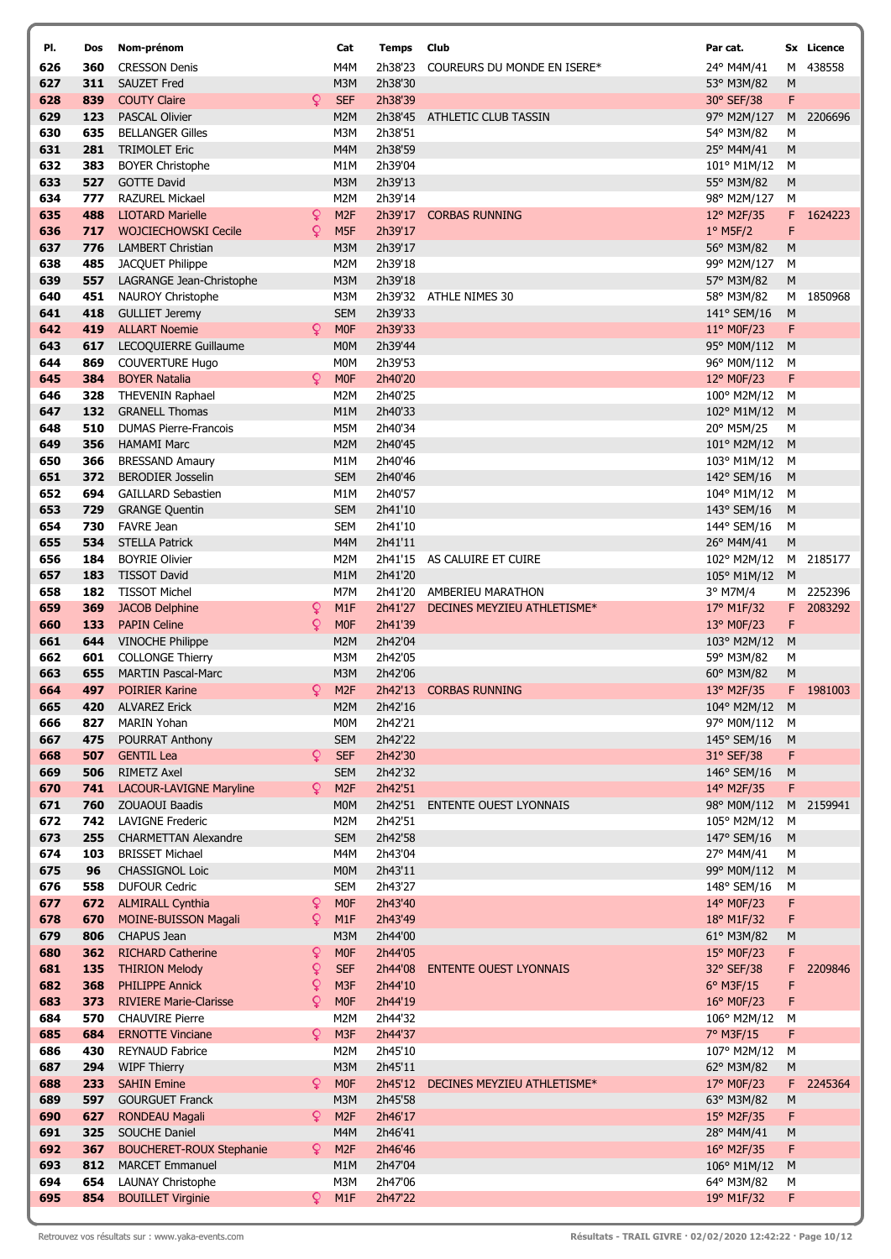| PI.        | Dos        | Nom-prénom                                              |        | Cat                                  | <b>Temps Club</b>  |                                                  | Par cat.                   |                | Sx Licence           |
|------------|------------|---------------------------------------------------------|--------|--------------------------------------|--------------------|--------------------------------------------------|----------------------------|----------------|----------------------|
| 626        | 360        | <b>CRESSON Denis</b>                                    |        | M4M                                  | 2h38'23            | COUREURS DU MONDE EN ISERE*                      | 24° M4M/41                 | М              | 438558               |
| 627        | 311        | <b>SAUZET Fred</b>                                      |        | M3M                                  | 2h38'30            |                                                  | 53° M3M/82                 | M              |                      |
| 628        | 839        | <b>COUTY Claire</b>                                     | Q.     | <b>SEF</b>                           | 2h38'39            |                                                  | 30° SEF/38                 | F              |                      |
| 629        | 123        | <b>PASCAL Olivier</b>                                   |        | M <sub>2</sub> M                     | 2h38'45            | ATHLETIC CLUB TASSIN                             | 97° M2M/127                | M              | 2206696              |
| 630        | 635        | <b>BELLANGER Gilles</b>                                 |        | M3M                                  | 2h38'51            |                                                  | 54° M3M/82                 | М              |                      |
| 631<br>632 | 281        | <b>TRIMOLET Eric</b>                                    |        | M4M                                  | 2h38'59            |                                                  | 25° M4M/41                 | M              |                      |
| 633        | 383<br>527 | <b>BOYER Christophe</b><br><b>GOTTE David</b>           |        | M <sub>1</sub> M<br>M3M              | 2h39'04<br>2h39'13 |                                                  | 101° M1M/12<br>55° M3M/82  | M<br>${\sf M}$ |                      |
| 634        | 777        | <b>RAZUREL Mickael</b>                                  |        | M <sub>2</sub> M                     | 2h39'14            |                                                  | 98° M2M/127                | M              |                      |
| 635        | 488        | <b>LIOTARD Marielle</b>                                 | Q      | M <sub>2F</sub>                      | 2h39'17            | <b>CORBAS RUNNING</b>                            | 12° M2F/35                 |                | F 1624223            |
| 636        | 717        | <b>WOJCIECHOWSKI Cecile</b>                             | Q      | M <sub>5F</sub>                      | 2h39'17            |                                                  | $1°$ M5F/2                 | F              |                      |
| 637        | 776        | <b>LAMBERT Christian</b>                                |        | M3M                                  | 2h39'17            |                                                  | 56° M3M/82                 | M              |                      |
| 638        | 485        | JACQUET Philippe                                        |        | M2M                                  | 2h39'18            |                                                  | 99° M2M/127                | M              |                      |
| 639        | 557        | LAGRANGE Jean-Christophe                                |        | M3M                                  | 2h39'18            |                                                  | 57° M3M/82                 | M              |                      |
| 640        | 451        | <b>NAUROY Christophe</b>                                |        | M3M                                  | 2h39'32            | ATHLE NIMES 30                                   | 58° M3M/82                 |                | M 1850968            |
| 641        | 418        | <b>GULLIET Jeremy</b>                                   |        | <b>SEM</b>                           | 2h39'33            |                                                  | 141° SEM/16                | M              |                      |
| 642        | 419        | <b>ALLART Noemie</b>                                    | Q      | <b>MOF</b>                           | 2h39'33            |                                                  | 11° M0F/23                 | F              |                      |
| 643        | 617        | LECOQUIERRE Guillaume                                   |        | M <sub>0</sub> M                     | 2h39'44            |                                                  | 95° M0M/112                | M              |                      |
| 644        | 869        | <b>COUVERTURE Hugo</b>                                  |        | M <sub>0</sub> M                     | 2h39'53            |                                                  | 96° M0M/112                | М              |                      |
| 645        | 384        | <b>BOYER Natalia</b>                                    | Q      | <b>MOF</b>                           | 2h40'20            |                                                  | 12° M0F/23                 | F              |                      |
| 646<br>647 | 328<br>132 | <b>THEVENIN Raphael</b><br><b>GRANELL Thomas</b>        |        | M <sub>2</sub> M<br>M <sub>1</sub> M | 2h40'25<br>2h40'33 |                                                  | 100° M2M/12<br>102° M1M/12 | М<br>M         |                      |
| 648        | 510        | <b>DUMAS Pierre-Francois</b>                            |        | M5M                                  | 2h40'34            |                                                  | 20° M5M/25                 | М              |                      |
| 649        | 356        | <b>HAMAMI Marc</b>                                      |        | M <sub>2</sub> M                     | 2h40'45            |                                                  | 101° M2M/12                | M              |                      |
| 650        | 366        | <b>BRESSAND Amaury</b>                                  |        | M <sub>1</sub> M                     | 2h40'46            |                                                  | 103° M1M/12                | м              |                      |
| 651        | 372        | <b>BERODIER Josselin</b>                                |        | <b>SEM</b>                           | 2h40'46            |                                                  | 142° SEM/16                | M              |                      |
| 652        | 694        | <b>GAILLARD Sebastien</b>                               |        | M <sub>1</sub> M                     | 2h40'57            |                                                  | 104° M1M/12                | м              |                      |
| 653        | 729        | <b>GRANGE Quentin</b>                                   |        | <b>SEM</b>                           | 2h41'10            |                                                  | 143° SEM/16                | M              |                      |
| 654        | 730        | FAVRE Jean                                              |        | <b>SEM</b>                           | 2h41'10            |                                                  | 144° SEM/16                | M              |                      |
| 655        | 534        | <b>STELLA Patrick</b>                                   |        | M4M                                  | 2h41'11            |                                                  | 26° M4M/41                 | M              |                      |
| 656        | 184        | <b>BOYRIE Olivier</b>                                   |        | M <sub>2</sub> M                     |                    | 2h41'15 AS CALUIRE ET CUIRE                      | 102° M2M/12                |                | M 2185177            |
| 657        | 183        | <b>TISSOT David</b>                                     |        | M <sub>1</sub> M                     | 2h41'20            |                                                  | 105° M1M/12                | M              |                      |
| 658<br>659 | 182<br>369 | <b>TISSOT Michel</b><br><b>JACOB Delphine</b>           | Q      | M7M<br>M1F                           | 2h41'20<br>2h41'27 | AMBERIEU MARATHON<br>DECINES MEYZIEU ATHLETISME* | 3° M7M/4<br>17° M1F/32     | F              | M 2252396<br>2083292 |
| 660        | 133        | <b>PAPIN Celine</b>                                     | Q      | <b>MOF</b>                           | 2h41'39            |                                                  | 13° M0F/23                 | F              |                      |
| 661        | 644        | <b>VINOCHE Philippe</b>                                 |        | M <sub>2</sub> M                     | 2h42'04            |                                                  | 103° M2M/12                | M              |                      |
| 662        | 601        | <b>COLLONGE Thierry</b>                                 |        | M3M                                  | 2h42'05            |                                                  | 59° M3M/82                 | М              |                      |
| 663        | 655        | <b>MARTIN Pascal-Marc</b>                               |        | M3M                                  | 2h42'06            |                                                  | 60° M3M/82                 | M              |                      |
| 664        | 497        | <b>POIRIER Karine</b>                                   | Q.     | M <sub>2F</sub>                      | 2h42'13            | <b>CORBAS RUNNING</b>                            | 13° M2F/35                 | F              | 1981003              |
| 665        | 420        | <b>ALVAREZ Erick</b>                                    |        | M2M                                  | 2h42'16            |                                                  | 104° M2M/12                | M              |                      |
| 666        | 827        | <b>MARIN Yohan</b>                                      |        | M <sub>0</sub> M                     | 2h42'21            |                                                  | 97° M0M/112 M              |                |                      |
| 667        | 475        | <b>POURRAT Anthony</b>                                  |        | <b>SEM</b>                           | 2h42'22            |                                                  | 145° SEM/16                | M              |                      |
| 668        | 507        | <b>GENTIL Lea</b>                                       | Q.     | <b>SEF</b>                           | 2h42'30            |                                                  | 31° SEF/38                 | F              |                      |
| 669        | 506        | <b>RIMETZ Axel</b>                                      | Q      | <b>SEM</b>                           | 2h42'32            |                                                  | 146° SEM/16                | M              |                      |
| 670<br>671 | 741<br>760 | <b>LACOUR-LAVIGNE Maryline</b><br><b>ZOUAOUI Baadis</b> |        | M <sub>2F</sub><br><b>MOM</b>        | 2h42'51<br>2h42'51 | <b>ENTENTE OUEST LYONNAIS</b>                    | 14° M2F/35<br>98° M0M/112  | F              | M 2159941            |
| 672        | 742        | <b>LAVIGNE Frederic</b>                                 |        | M2M                                  | 2h42'51            |                                                  | 105° M2M/12                | M              |                      |
| 673        | 255        | <b>CHARMETTAN Alexandre</b>                             |        | <b>SEM</b>                           | 2h42'58            |                                                  | 147° SEM/16                | M              |                      |
| 674        | 103        | <b>BRISSET Michael</b>                                  |        | M4M                                  | 2h43'04            |                                                  | 27° M4M/41                 | М              |                      |
| 675        | 96         | <b>CHASSIGNOL Loic</b>                                  |        | <b>MOM</b>                           | 2h43'11            |                                                  | 99° M0M/112                | M              |                      |
| 676        | 558        | <b>DUFOUR Cedric</b>                                    |        | <b>SEM</b>                           | 2h43'27            |                                                  | 148° SEM/16                | M              |                      |
| 677        | 672        | <b>ALMIRALL Cynthia</b>                                 | ¥      | M <sub>0F</sub>                      | 2h43'40            |                                                  | 14° M0F/23                 | F              |                      |
| 678        | 670        | MOINE-BUISSON Magali                                    | Q      | M1F                                  | 2h43'49            |                                                  | $18^{\circ}$ M1F/32        | F              |                      |
| 679        | 806        | CHAPUS Jean                                             |        | M3M                                  | 2h44'00            |                                                  | 61° M3M/82                 | M              |                      |
| 680        | 362        | <b>RICHARD Catherine</b>                                | ¥      | M <sub>OF</sub>                      | 2h44'05            |                                                  | 15° M0F/23                 | F              |                      |
| 681        | 135        | <b>THIRION Melody</b>                                   | ¥      | <b>SEF</b>                           | 2h44'08            | <b>ENTENTE OUEST LYONNAIS</b>                    | 32° SEF/38                 | F              | 2209846              |
| 682<br>683 | 368<br>373 | <b>PHILIPPE Annick</b><br><b>RIVIERE Marie-Clarisse</b> | Q<br>Q | M3F<br>M <sub>0F</sub>               | 2h44'10<br>2h44'19 |                                                  | $6°$ M3F/15<br>16° M0F/23  | F<br>F         |                      |
| 684        | 570        | <b>CHAUVIRE Pierre</b>                                  |        | M2M                                  | 2h44'32            |                                                  | 106° M2M/12                | М              |                      |
| 685        | 684        | <b>ERNOTTE Vinciane</b>                                 | Q      | M3F                                  | 2h44'37            |                                                  | 7° M3F/15                  | F              |                      |
| 686        | 430        | <b>REYNAUD Fabrice</b>                                  |        | M <sub>2</sub> M                     | 2h45'10            |                                                  | 107° M2M/12                | M              |                      |
| 687        | 294        | <b>WIPF Thierry</b>                                     |        | M3M                                  | 2h45'11            |                                                  | 62° M3M/82                 | M              |                      |
| 688        | 233        | <b>SAHIN Emine</b>                                      | Q.     | <b>MOF</b>                           | 2h45'12            | DECINES MEYZIEU ATHLETISME*                      | 17° M0F/23                 |                | F 2245364            |
| 689        | 597        | <b>GOURGUET Franck</b>                                  |        | M3M                                  | 2h45'58            |                                                  | 63° M3M/82                 | M              |                      |
| 690        | 627        | RONDEAU Magali                                          | Q      | M <sub>2F</sub>                      | 2h46'17            |                                                  | 15° M2F/35                 | F              |                      |
| 691        | 325        | SOUCHE Daniel                                           |        | M4M                                  | 2h46'41            |                                                  | 28° M4M/41                 | ${\sf M}$      |                      |
| 692        | 367        | <b>BOUCHERET-ROUX Stephanie</b>                         | Q.     | M <sub>2F</sub>                      | 2h46'46            |                                                  | 16° M2F/35                 | F              |                      |
| 693        | 812        | <b>MARCET Emmanuel</b>                                  |        | M1M                                  | 2h47'04            |                                                  | 106° M1M/12                | M              |                      |
| 694<br>695 | 654<br>854 | <b>LAUNAY Christophe</b><br><b>BOUILLET Virginie</b>    | Q.     | M3M<br>M <sub>1F</sub>               | 2h47'06<br>2h47'22 |                                                  | 64° M3M/82<br>19° M1F/32   | M<br>F         |                      |
|            |            |                                                         |        |                                      |                    |                                                  |                            |                |                      |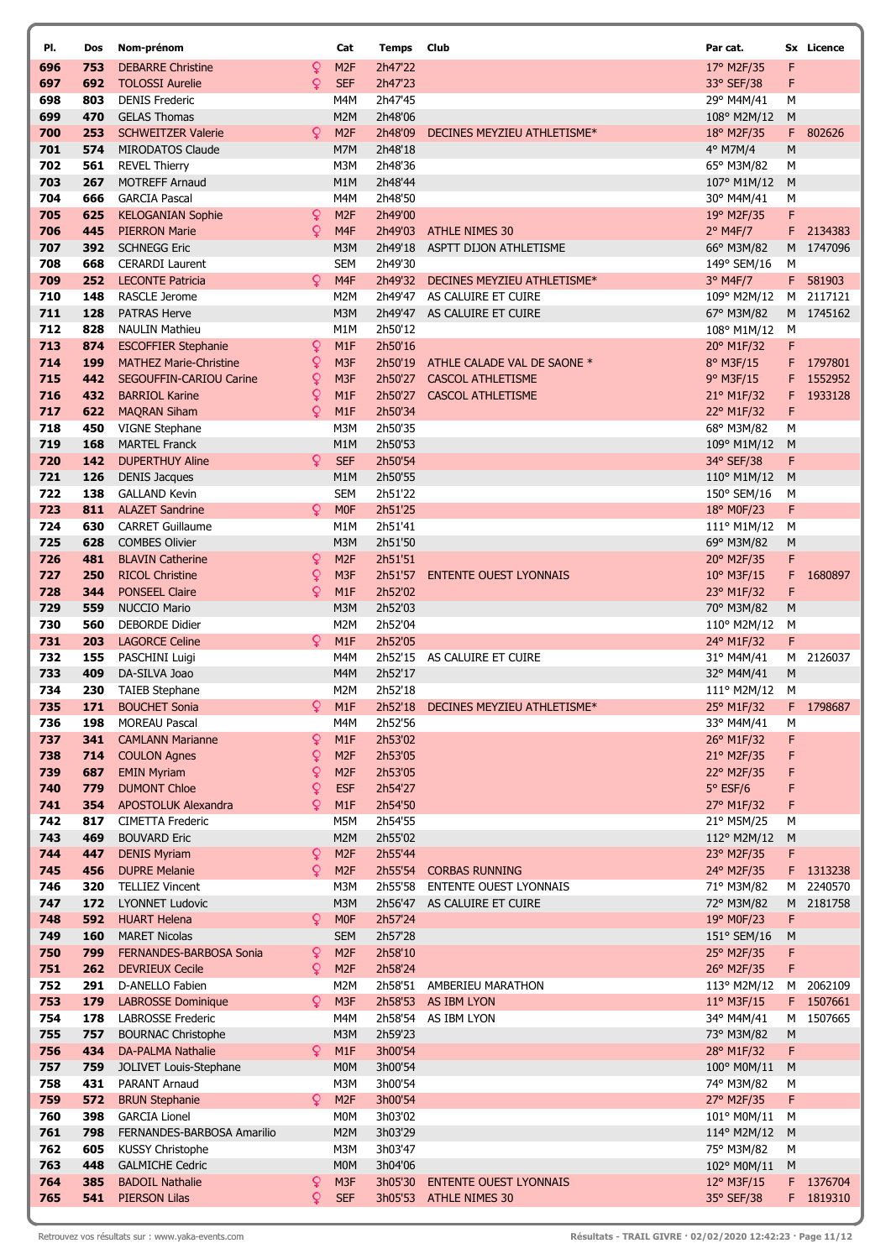| PI.        | Dos        | Nom-prénom                                                  |        | Cat                                | <b>Temps</b> Club  |                                                         | Par cat.                           |           | Sx Licence |
|------------|------------|-------------------------------------------------------------|--------|------------------------------------|--------------------|---------------------------------------------------------|------------------------------------|-----------|------------|
| 696        | 753        | <b>DEBARRE Christine</b>                                    | Q      | M <sub>2F</sub>                    | 2h47'22            |                                                         | 17° M2F/35                         | F         |            |
| 697        | 692        | <b>TOLOSSI Aurelie</b>                                      | Q      | <b>SEF</b>                         | 2h47'23            |                                                         | 33° SEF/38                         | F         |            |
| 698        | 803        | <b>DENIS Frederic</b>                                       |        | M4M                                | 2h47'45            |                                                         | 29° M4M/41                         | М         |            |
| 699        | 470        | <b>GELAS Thomas</b>                                         |        | M <sub>2</sub> M                   | 2h48'06            |                                                         | 108° M2M/12                        | M         |            |
| 700        | 253        | <b>SCHWEITZER Valerie</b>                                   | Q      | M <sub>2F</sub>                    | 2h48'09            | DECINES MEYZIEU ATHLETISME*                             | 18° M2F/35                         |           | F 802626   |
| 701<br>702 | 574<br>561 | <b>MIRODATOS Claude</b>                                     |        | M7M<br>M3M                         | 2h48'18<br>2h48'36 |                                                         | 4° M7M/4                           | M<br>М    |            |
| 703        | 267        | <b>REVEL Thierry</b><br><b>MOTREFF Arnaud</b>               |        | M1M                                | 2h48'44            |                                                         | 65° M3M/82<br>107° M1M/12          | M         |            |
| 704        | 666        | <b>GARCIA Pascal</b>                                        |        | M4M                                | 2h48'50            |                                                         | 30° M4M/41                         | М         |            |
| 705        | 625        | <b>KELOGANIAN Sophie</b>                                    | ¥      | M <sub>2F</sub>                    | 2h49'00            |                                                         | 19° M2F/35                         | F         |            |
| 706        | 445        | <b>PIERRON Marie</b>                                        | Q      | M <sub>4F</sub>                    | 2h49'03            | <b>ATHLE NIMES 30</b>                                   | $2^{\circ}$ M4F/7                  |           | F 2134383  |
| 707        | 392        | <b>SCHNEGG Eric</b>                                         |        | M3M                                | 2h49'18            | ASPTT DIJON ATHLETISME                                  | 66° M3M/82                         |           | M 1747096  |
| 708        | 668        | <b>CERARDI Laurent</b>                                      |        | <b>SEM</b>                         | 2h49'30            |                                                         | 149° SEM/16                        | М         |            |
| 709        | 252        | <b>LECONTE Patricia</b>                                     | Q      | M <sub>4F</sub>                    | 2h49'32            | DECINES MEYZIEU ATHLETISME*                             | 3° M4F/7                           |           | F 581903   |
| 710        | 148        | RASCLE Jerome                                               |        | M2M                                | 2h49'47            | AS CALUIRE ET CUIRE                                     | 109° M2M/12                        |           | M 2117121  |
| 711        | 128        | <b>PATRAS Herve</b>                                         |        | M3M                                | 2h49'47            | AS CALUIRE ET CUIRE                                     | 67° M3M/82                         |           | M 1745162  |
| 712<br>713 | 828        | <b>NAULIN Mathieu</b>                                       |        | M1M<br>M1F                         | 2h50'12            |                                                         | 108° M1M/12                        | М         |            |
| 714        | 874<br>199 | <b>ESCOFFIER Stephanie</b><br><b>MATHEZ Marie-Christine</b> | Q<br>Q | M3F                                | 2h50'16<br>2h50'19 | ATHLE CALADE VAL DE SAONE *                             | 20° M1F/32<br>$8^{\circ}$ M3F/15   | F         | F 1797801  |
| 715        | 442        | <b>SEGOUFFIN-CARIOU Carine</b>                              | Q      | M3F                                | 2h50'27            | <b>CASCOL ATHLETISME</b>                                | $9^{\circ}$ M3F/15                 | F         | 1552952    |
| 716        | 432        | <b>BARRIOL Karine</b>                                       | Q      | M1F                                | 2h50'27            | <b>CASCOL ATHLETISME</b>                                | 21° M1F/32                         | F         | 1933128    |
| 717        | 622        | <b>MAQRAN Siham</b>                                         | Q      | M1F                                | 2h50'34            |                                                         | 22° M1F/32                         | F         |            |
| 718        | 450        | VIGNE Stephane                                              |        | M3M                                | 2h50'35            |                                                         | 68° M3M/82                         | М         |            |
| 719        | 168        | <b>MARTEL Franck</b>                                        |        | M <sub>1</sub> M                   | 2h50'53            |                                                         | 109° M1M/12                        | M         |            |
| 720        | 142        | <b>DUPERTHUY Aline</b>                                      | Q      | <b>SEF</b>                         | 2h50'54            |                                                         | 34° SEF/38                         | F         |            |
| 721        | 126        | <b>DENIS Jacques</b>                                        |        | M1M                                | 2h50'55            |                                                         | $110^{\circ}$ M1M/12               | M         |            |
| 722        | 138        | <b>GALLAND Kevin</b>                                        |        | <b>SEM</b>                         | 2h51'22            |                                                         | 150° SEM/16                        | M         |            |
| 723        | 811        | <b>ALAZET Sandrine</b>                                      | Q      | <b>MOF</b>                         | 2h51'25            |                                                         | 18° M0F/23                         | F         |            |
| 724<br>725 | 630<br>628 | <b>CARRET Guillaume</b><br><b>COMBES Olivier</b>            |        | M1M<br>M3M                         | 2h51'41<br>2h51'50 |                                                         | $111^{\circ}$ M1M/12<br>69° M3M/82 | M<br>M    |            |
| 726        | 481        | <b>BLAVIN Catherine</b>                                     | Q      | M <sub>2F</sub>                    | 2h51'51            |                                                         | 20° M2F/35                         | F         |            |
| 727        | 250        | <b>RICOL Christine</b>                                      | ¥      | M3F                                | 2h51'57            | <b>ENTENTE OUEST LYONNAIS</b>                           | $10^{\circ}$ M3F/15                | F         | 1680897    |
| 728        | 344        | <b>PONSEEL Claire</b>                                       | Q      | M1F                                | 2h52'02            |                                                         | 23° M1F/32                         | F         |            |
| 729        | 559        | <b>NUCCIO Mario</b>                                         |        | M3M                                | 2h52'03            |                                                         | 70° M3M/82                         | M         |            |
| 730        | 560        | <b>DEBORDE Didier</b>                                       |        | M <sub>2</sub> M                   | 2h52'04            |                                                         | 110° M2M/12                        | М         |            |
| 731        | 203        | <b>LAGORCE Celine</b>                                       | Q      | M <sub>1</sub> F                   | 2h52'05            |                                                         | 24° M1F/32                         | F         |            |
| 732        | 155        | PASCHINI Luigi                                              |        | M4M                                |                    | 2h52'15 AS CALUIRE ET CUIRE                             | 31° M4M/41                         | M         | 2126037    |
| 733        | 409        | DA-SILVA Joao                                               |        | M4M                                | 2h52'17            |                                                         | 32° M4M/41                         | ${\sf M}$ |            |
| 734<br>735 | 230<br>171 | <b>TAIEB Stephane</b><br><b>BOUCHET Sonia</b>               | Q      | M2M                                | 2h52'18            |                                                         | 111° M2M/12                        | M         | F 1798687  |
| 736        | 198        | <b>MOREAU Pascal</b>                                        |        | M1F<br>M4M                         | 2h52'56            | 2h52'18 DECINES MEYZIEU ATHLETISME*                     | 25° M1F/32<br>33° M4M/41           | М         |            |
| 737        | 341        | <b>CAMLANN Marianne</b>                                     | Q      | M <sub>1</sub> F                   | 2h53'02            |                                                         | 26° M1F/32                         | F         |            |
| 738        | 714        | <b>COULON Agnes</b>                                         | ¥      | M <sub>2F</sub>                    | 2h53'05            |                                                         | 21° M2F/35                         | F         |            |
| 739        | 687        | <b>EMIN Myriam</b>                                          | ¥      | M <sub>2F</sub>                    | 2h53'05            |                                                         | 22° M2F/35                         | F         |            |
| 740        | 779        | <b>DUMONT Chloe</b>                                         | Q      | <b>ESF</b>                         | 2h54'27            |                                                         | $5°$ ESF/6                         | F         |            |
| 741        | 354        | <b>APOSTOLUK Alexandra</b>                                  | Q      | M1F                                | 2h54'50            |                                                         | 27° M1F/32                         | F         |            |
| 742        | 817        | <b>CIMETTA Frederic</b>                                     |        | M5M                                | 2h54'55            |                                                         | 21° M5M/25                         | М         |            |
| 743        | 469        | <b>BOUVARD Eric</b>                                         |        | M2M                                | 2h55'02            |                                                         | 112° M2M/12                        | M         |            |
| 744<br>745 | 447<br>456 | <b>DENIS Myriam</b><br><b>DUPRE Melanie</b>                 | ¥<br>Q | M <sub>2F</sub><br>M <sub>2F</sub> | 2h55'44<br>2h55'54 | <b>CORBAS RUNNING</b>                                   | 23° M2F/35<br>24° M2F/35           | F         | F 1313238  |
| 746        | 320        | <b>TELLIEZ Vincent</b>                                      |        | M3M                                | 2h55'58            | <b>ENTENTE OUEST LYONNAIS</b>                           | 71° M3M/82                         | М         | 2240570    |
| 747        | 172        | <b>LYONNET Ludovic</b>                                      |        | M3M                                | 2h56'47            | AS CALUIRE ET CUIRE                                     | 72° M3M/82                         |           | M 2181758  |
| 748        | 592        | <b>HUART Helena</b>                                         | Q      | <b>MOF</b>                         | 2h57'24            |                                                         | 19° M0F/23                         | F         |            |
| 749        | 160        | <b>MARET Nicolas</b>                                        |        | <b>SEM</b>                         | 2h57'28            |                                                         | 151° SEM/16                        | M         |            |
| 750        | 799        | FERNANDES-BARBOSA Sonia                                     | Q      | M <sub>2F</sub>                    | 2h58'10            |                                                         | 25° M2F/35                         | F         |            |
| 751        | 262        | <b>DEVRIEUX Cecile</b>                                      | Q      | M <sub>2F</sub>                    | 2h58'24            |                                                         | 26° M2F/35                         | F         |            |
| 752        | 291        | D-ANELLO Fabien                                             |        | M2M                                | 2h58'51            | AMBERIEU MARATHON                                       | 113° M2M/12                        | M         | 2062109    |
| 753        | 179        | <b>LABROSSE Dominique</b>                                   | Q.     | M3F                                |                    | 2h58'53 AS IBM LYON                                     | 11° M3F/15                         |           | F 1507661  |
| 754<br>755 | 178<br>757 | <b>LABROSSE Frederic</b><br><b>BOURNAC Christophe</b>       |        | M4M<br>M3M                         | 2h59'23            | 2h58'54 AS IBM LYON                                     | 34° M4M/41<br>73° M3M/82           | M         | M 1507665  |
| 756        | 434        | <b>DA-PALMA Nathalie</b>                                    | Q.     | M1F                                | 3h00'54            |                                                         | 28° M1F/32                         | F         |            |
| 757        | 759        | JOLIVET Louis-Stephane                                      |        | M <sub>0</sub> M                   | 3h00'54            |                                                         | 100° M0M/11                        | M         |            |
| 758        | 431        | PARANT Arnaud                                               |        | M3M                                | 3h00'54            |                                                         | 74° M3M/82                         | M         |            |
| 759        | 572        | <b>BRUN Stephanie</b>                                       | Q      | M <sub>2F</sub>                    | 3h00'54            |                                                         | 27° M2F/35                         | F         |            |
| 760        | 398        | <b>GARCIA Lionel</b>                                        |        | M0M                                | 3h03'02            |                                                         | 101° M0M/11                        | M         |            |
| 761        | 798        | FERNANDES-BARBOSA Amarilio                                  |        | M2M                                | 3h03'29            |                                                         | 114° M2M/12                        | M         |            |
| 762        | 605        | <b>KUSSY Christophe</b>                                     |        | M3M                                | 3h03'47            |                                                         | 75° M3M/82                         | М         |            |
| 763        | 448        | <b>GALMICHE Cedric</b>                                      |        | M <sub>0</sub> M                   | 3h04'06            |                                                         | 102° M0M/11                        | M         |            |
| 764        | 385        | <b>BADOIL Nathalie</b>                                      | Q<br>Q | M3F<br><b>SEF</b>                  | 3h05'30            | <b>ENTENTE OUEST LYONNAIS</b><br>3h05'53 ATHLE NIMES 30 | 12° M3F/15                         |           | F 1376704  |
| 765        | 541        | <b>PIERSON Lilas</b>                                        |        |                                    |                    |                                                         | 35° SEF/38                         |           | F 1819310  |